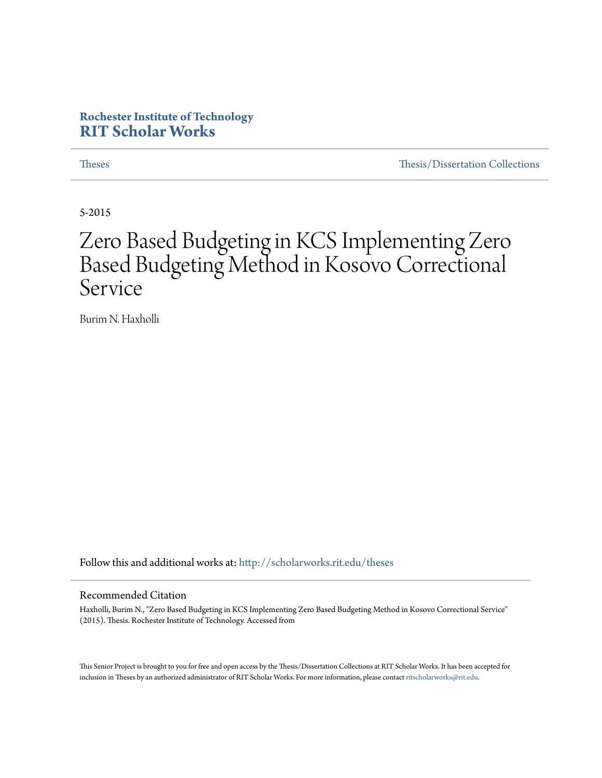## **Rochester Institute of Technology [RIT Scholar Works](http://scholarworks.rit.edu?utm_source=scholarworks.rit.edu%2Ftheses%2F8765&utm_medium=PDF&utm_campaign=PDFCoverPages)**

[Theses](http://scholarworks.rit.edu/theses?utm_source=scholarworks.rit.edu%2Ftheses%2F8765&utm_medium=PDF&utm_campaign=PDFCoverPages) [Thesis/Dissertation Collections](http://scholarworks.rit.edu/etd_collections?utm_source=scholarworks.rit.edu%2Ftheses%2F8765&utm_medium=PDF&utm_campaign=PDFCoverPages)

5-2015

# Zero Based Budgeting in KCS Implementing Zero Based Budgeting Method in Kosovo Correctional Service

Burim N. Haxholli

Follow this and additional works at: [http://scholarworks.rit.edu/theses](http://scholarworks.rit.edu/theses?utm_source=scholarworks.rit.edu%2Ftheses%2F8765&utm_medium=PDF&utm_campaign=PDFCoverPages)

#### Recommended Citation

Haxholli, Burim N., "Zero Based Budgeting in KCS Implementing Zero Based Budgeting Method in Kosovo Correctional Service" (2015). Thesis. Rochester Institute of Technology. Accessed from

This Senior Project is brought to you for free and open access by the Thesis/Dissertation Collections at RIT Scholar Works. It has been accepted for inclusion in Theses by an authorized administrator of RIT Scholar Works. For more information, please contact [ritscholarworks@rit.edu](mailto:ritscholarworks@rit.edu).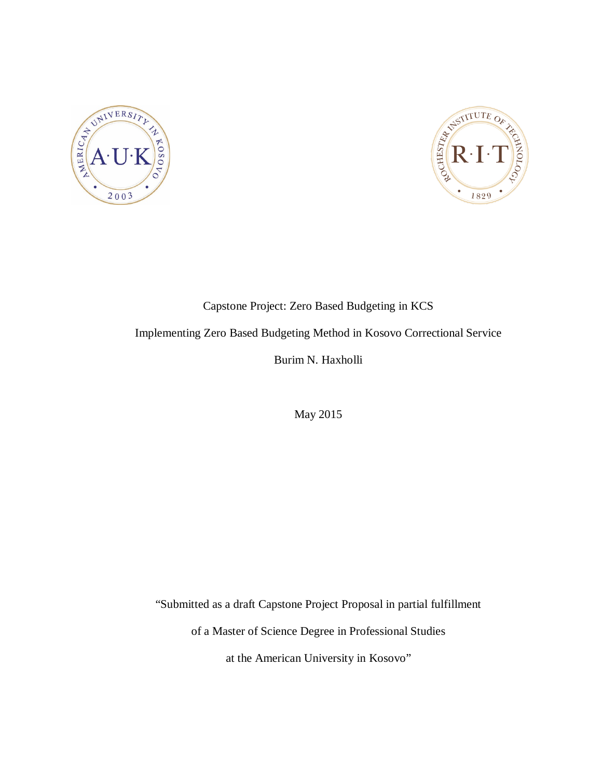



# Capstone Project: Zero Based Budgeting in KCS Implementing Zero Based Budgeting Method in Kosovo Correctional Service Burim N. Haxholli

May 2015

"Submitted as a draft Capstone Project Proposal in partial fulfillment

of a Master of Science Degree in Professional Studies

at the American University in Kosovo"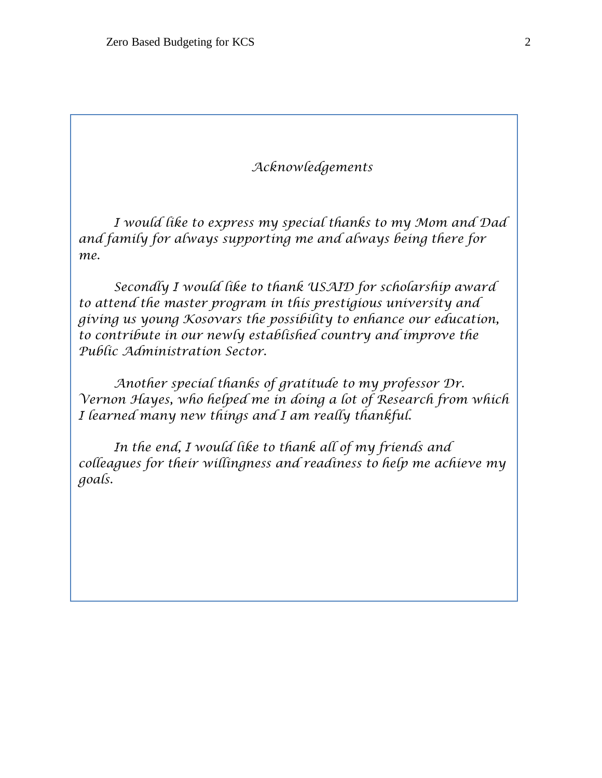## *Acknowledgements*

*I would like to express my special thanks to my Mom and Dad and family for always supporting me and always being there for me.* 

*Secondly I would like to thank USAID for scholarship award to attend the master program in this prestigious university and giving us young Kosovars the possibility to enhance our education, to contribute in our newly established country and improve the Public Administration Sector.*

*Another special thanks of gratitude to my professor Dr. Vernon Hayes, who helped me in doing a lot of Research from which I learned many new things and I am really thankful.*

*In the end, I would like to thank all of my friends and colleagues for their willingness and readiness to help me achieve my goals.*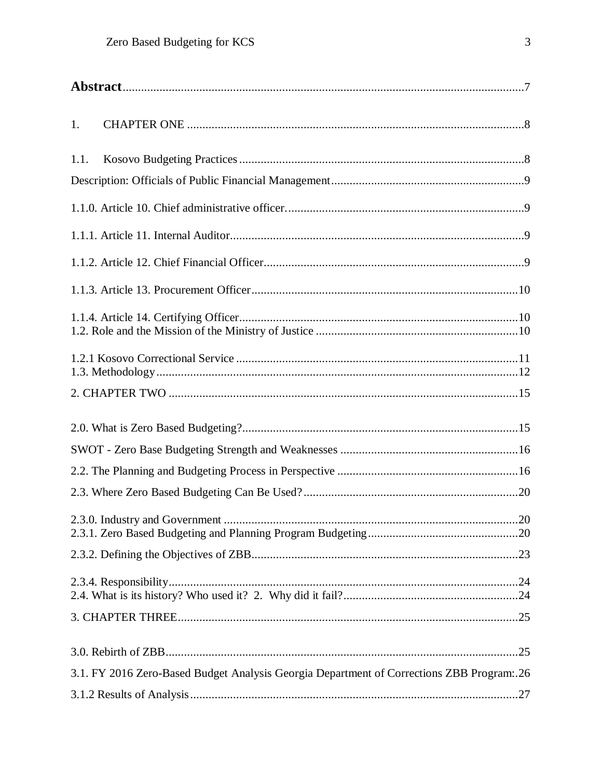| 1.   |                                                                                             |     |
|------|---------------------------------------------------------------------------------------------|-----|
| 1.1. |                                                                                             |     |
|      |                                                                                             |     |
|      |                                                                                             |     |
|      |                                                                                             |     |
|      |                                                                                             |     |
|      |                                                                                             |     |
|      |                                                                                             |     |
|      |                                                                                             |     |
|      |                                                                                             |     |
|      |                                                                                             |     |
|      |                                                                                             |     |
|      |                                                                                             |     |
|      |                                                                                             |     |
|      | 2.3.0. Industry and Government                                                              | .20 |
|      |                                                                                             |     |
|      |                                                                                             |     |
|      |                                                                                             |     |
|      |                                                                                             |     |
|      | 3.1. FY 2016 Zero-Based Budget Analysis Georgia Department of Corrections ZBB Program: . 26 |     |
|      |                                                                                             |     |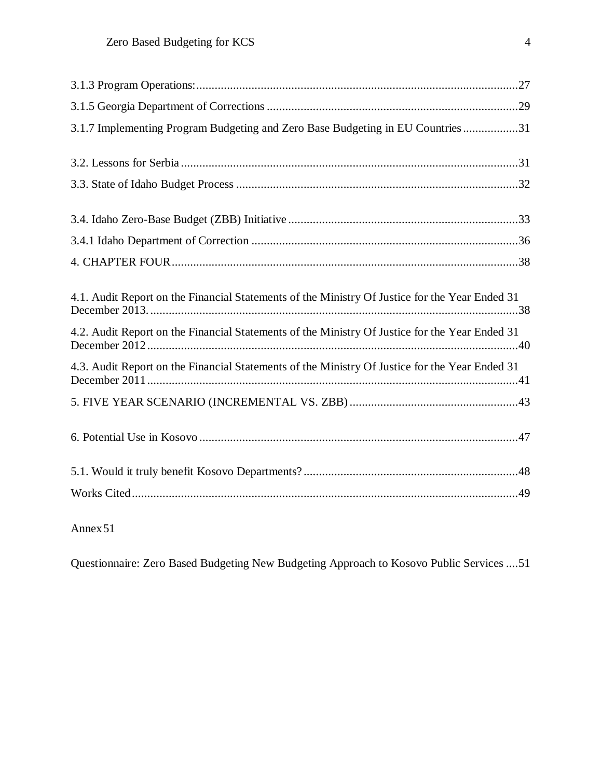[Annex51](#page-51-0)

[Questionnaire: Zero Based Budgeting New Budgeting Approach](#page-51-1) to Kosovo Public Services ....51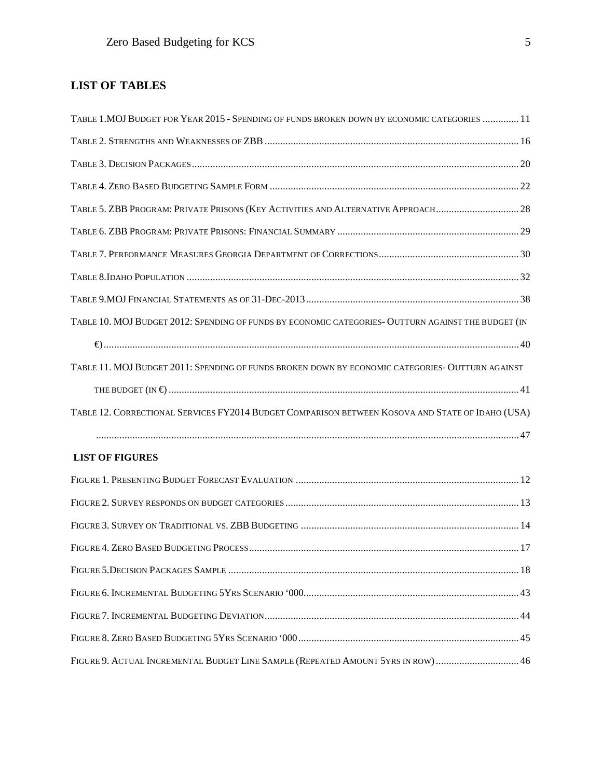## **LIST OF TABLES**

| TABLE 1. MOJ BUDGET FOR YEAR 2015 - SPENDING OF FUNDS BROKEN DOWN BY ECONOMIC CATEGORIES  11        |  |
|-----------------------------------------------------------------------------------------------------|--|
|                                                                                                     |  |
|                                                                                                     |  |
|                                                                                                     |  |
| TABLE 5. ZBB PROGRAM: PRIVATE PRISONS (KEY ACTIVITIES AND ALTERNATIVE APPROACH 28                   |  |
|                                                                                                     |  |
|                                                                                                     |  |
|                                                                                                     |  |
|                                                                                                     |  |
| TABLE 10. MOJ BUDGET 2012: SPENDING OF FUNDS BY ECONOMIC CATEGORIES- OUTTURN AGAINST THE BUDGET (IN |  |
|                                                                                                     |  |
| TABLE 11. MOJ BUDGET 2011: SPENDING OF FUNDS BROKEN DOWN BY ECONOMIC CATEGORIES- OUTTURN AGAINST    |  |
|                                                                                                     |  |
| TABLE 12. CORRECTIONAL SERVICES FY2014 BUDGET COMPARISON BETWEEN KOSOVA AND STATE OF IDAHO (USA)    |  |
|                                                                                                     |  |
| <b>LIST OF FIGURES</b>                                                                              |  |
|                                                                                                     |  |
|                                                                                                     |  |
|                                                                                                     |  |
|                                                                                                     |  |
|                                                                                                     |  |
|                                                                                                     |  |
|                                                                                                     |  |
|                                                                                                     |  |
| FIGURE 9. ACTUAL INCREMENTAL BUDGET LINE SAMPLE (REPEATED AMOUNT 5YRS IN ROW)  46                   |  |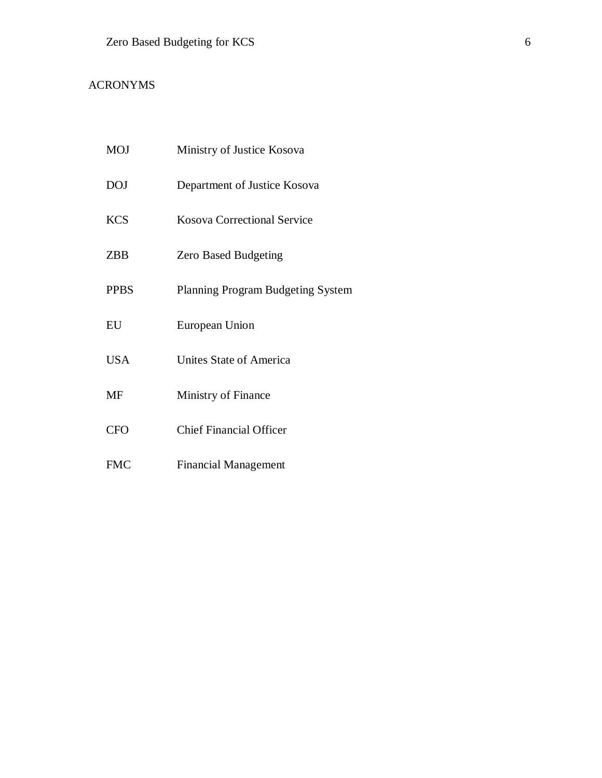## ACRONYMS

| <b>MOJ</b>  | Ministry of Justice Kosova         |
|-------------|------------------------------------|
| <b>DOJ</b>  | Department of Justice Kosova       |
| <b>KCS</b>  | <b>Kosova Correctional Service</b> |
| ZBB         | <b>Zero Based Budgeting</b>        |
| <b>PPBS</b> | Planning Program Budgeting System  |
| EU          | European Union                     |
| <b>USA</b>  | Unites State of America            |
| MF          | Ministry of Finance                |
| <b>CFO</b>  | <b>Chief Financial Officer</b>     |
| <b>FMC</b>  | <b>Financial Management</b>        |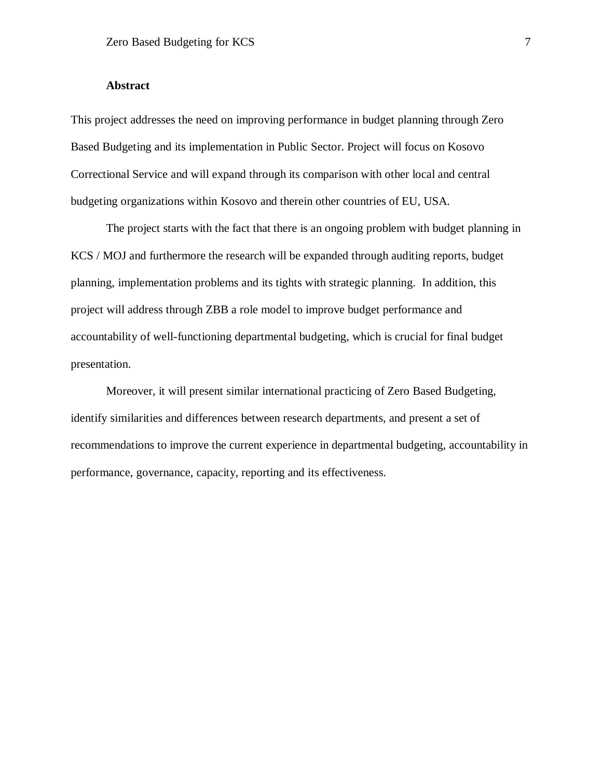#### **Abstract**

<span id="page-7-0"></span>This project addresses the need on improving performance in budget planning through Zero Based Budgeting and its implementation in Public Sector. Project will focus on Kosovo Correctional Service and will expand through its comparison with other local and central budgeting organizations within Kosovo and therein other countries of EU, USA.

The project starts with the fact that there is an ongoing problem with budget planning in KCS / MOJ and furthermore the research will be expanded through auditing reports, budget planning, implementation problems and its tights with strategic planning. In addition, this project will address through ZBB a role model to improve budget performance and accountability of well-functioning departmental budgeting, which is crucial for final budget presentation.

Moreover, it will present similar international practicing of Zero Based Budgeting, identify similarities and differences between research departments, and present a set of recommendations to improve the current experience in departmental budgeting, accountability in performance, governance, capacity, reporting and its effectiveness.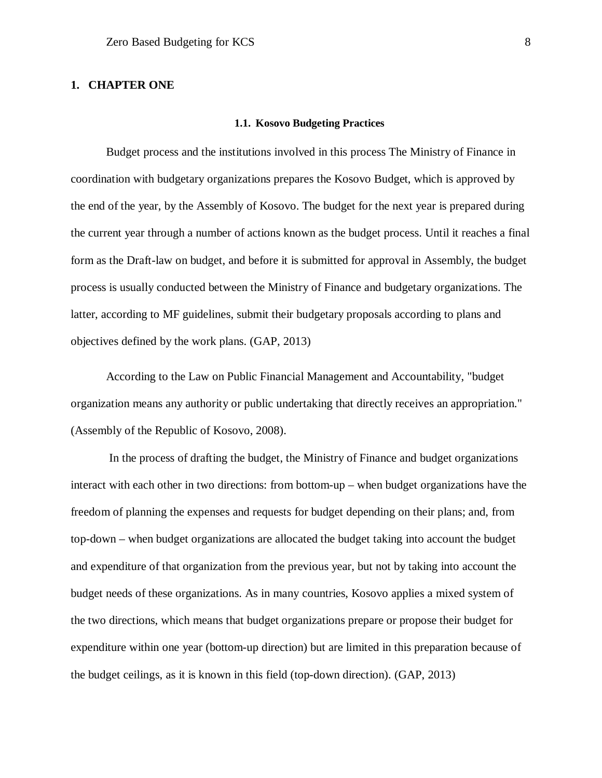#### <span id="page-8-1"></span><span id="page-8-0"></span>**1. CHAPTER ONE**

#### **1.1. Kosovo Budgeting Practices**

Budget process and the institutions involved in this process The Ministry of Finance in coordination with budgetary organizations prepares the Kosovo Budget, which is approved by the end of the year, by the Assembly of Kosovo. The budget for the next year is prepared during the current year through a number of actions known as the budget process. Until it reaches a final form as the Draft-law on budget, and before it is submitted for approval in Assembly, the budget process is usually conducted between the Ministry of Finance and budgetary organizations. The latter, according to MF guidelines, submit their budgetary proposals according to plans and objectives defined by the work plans. (GAP, 2013)

According to the Law on Public Financial Management and Accountability, "budget organization means any authority or public undertaking that directly receives an appropriation." (Assembly of the Republic of Kosovo, 2008).

In the process of drafting the budget, the Ministry of Finance and budget organizations interact with each other in two directions: from bottom-up – when budget organizations have the freedom of planning the expenses and requests for budget depending on their plans; and, from top-down – when budget organizations are allocated the budget taking into account the budget and expenditure of that organization from the previous year, but not by taking into account the budget needs of these organizations. As in many countries, Kosovo applies a mixed system of the two directions, which means that budget organizations prepare or propose their budget for expenditure within one year (bottom-up direction) but are limited in this preparation because of the budget ceilings, as it is known in this field (top-down direction). (GAP, 2013)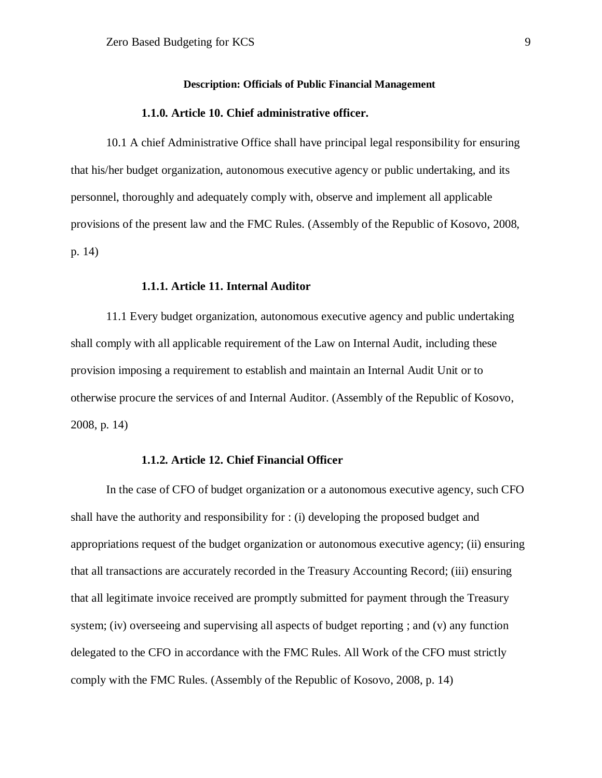#### **Description: Officials of Public Financial Management**

#### **1.1.0. Article 10. Chief administrative officer.**

<span id="page-9-1"></span><span id="page-9-0"></span>10.1 A chief Administrative Office shall have principal legal responsibility for ensuring that his/her budget organization, autonomous executive agency or public undertaking, and its personnel, thoroughly and adequately comply with, observe and implement all applicable provisions of the present law and the FMC Rules. (Assembly of the Republic of Kosovo, 2008, p. 14)

#### **1.1.1. Article 11. Internal Auditor**

<span id="page-9-2"></span>11.1 Every budget organization, autonomous executive agency and public undertaking shall comply with all applicable requirement of the Law on Internal Audit, including these provision imposing a requirement to establish and maintain an Internal Audit Unit or to otherwise procure the services of and Internal Auditor. (Assembly of the Republic of Kosovo, 2008, p. 14)

#### **1.1.2. Article 12. Chief Financial Officer**

<span id="page-9-3"></span>In the case of CFO of budget organization or a autonomous executive agency, such CFO shall have the authority and responsibility for : (i) developing the proposed budget and appropriations request of the budget organization or autonomous executive agency; (ii) ensuring that all transactions are accurately recorded in the Treasury Accounting Record; (iii) ensuring that all legitimate invoice received are promptly submitted for payment through the Treasury system; (iv) overseeing and supervising all aspects of budget reporting; and (v) any function delegated to the CFO in accordance with the FMC Rules. All Work of the CFO must strictly comply with the FMC Rules. (Assembly of the Republic of Kosovo, 2008, p. 14)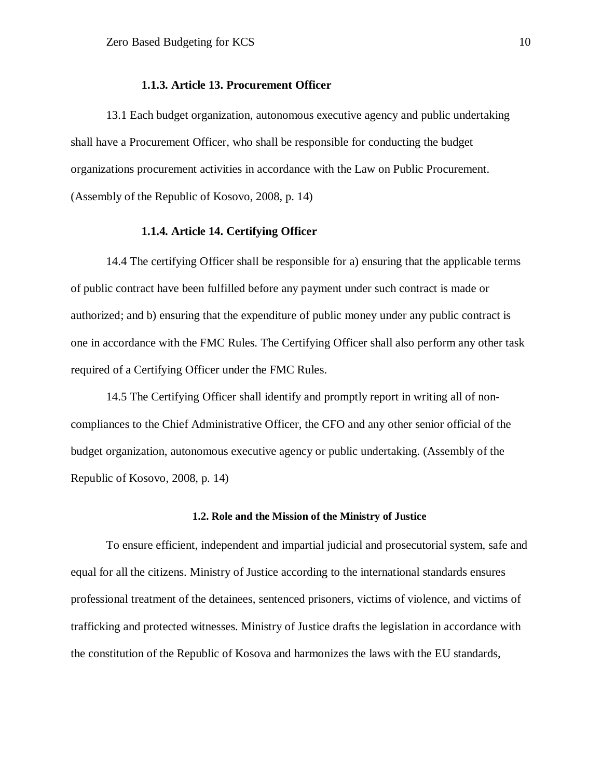#### **1.1.3. Article 13. Procurement Officer**

<span id="page-10-0"></span>13.1 Each budget organization, autonomous executive agency and public undertaking shall have a Procurement Officer, who shall be responsible for conducting the budget organizations procurement activities in accordance with the Law on Public Procurement. (Assembly of the Republic of Kosovo, 2008, p. 14)

#### **1.1.4. Article 14. Certifying Officer**

<span id="page-10-1"></span>14.4 The certifying Officer shall be responsible for a) ensuring that the applicable terms of public contract have been fulfilled before any payment under such contract is made or authorized; and b) ensuring that the expenditure of public money under any public contract is one in accordance with the FMC Rules. The Certifying Officer shall also perform any other task required of a Certifying Officer under the FMC Rules.

14.5 The Certifying Officer shall identify and promptly report in writing all of noncompliances to the Chief Administrative Officer, the CFO and any other senior official of the budget organization, autonomous executive agency or public undertaking. (Assembly of the Republic of Kosovo, 2008, p. 14)

#### **1.2. Role and the Mission of the Ministry of Justice**

<span id="page-10-2"></span>To ensure efficient, independent and impartial judicial and prosecutorial system, safe and equal for all the citizens. Ministry of Justice according to the international standards ensures professional treatment of the detainees, sentenced prisoners, victims of violence, and victims of trafficking and protected witnesses. Ministry of Justice drafts the legislation in accordance with the constitution of the Republic of Kosova and harmonizes the laws with the EU standards,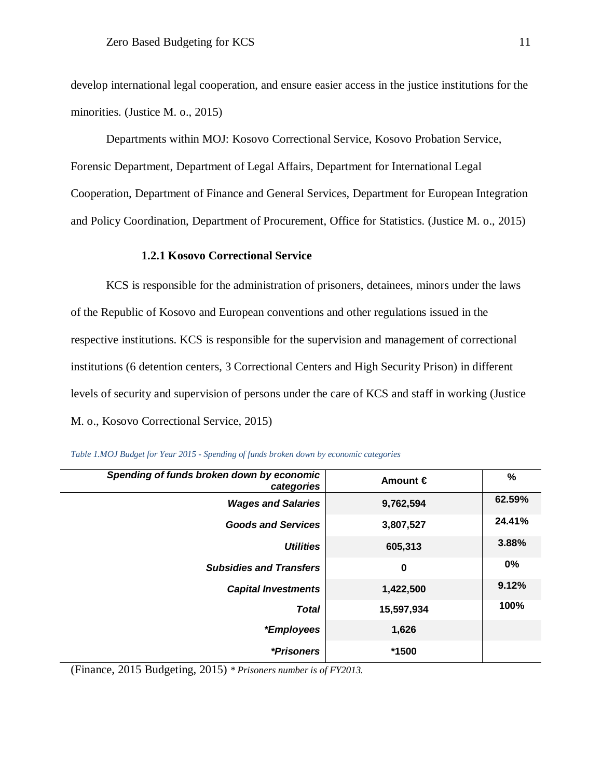develop international legal cooperation, and ensure easier access in the justice institutions for the minorities. (Justice M. o., 2015)

Departments within MOJ: Kosovo Correctional Service, Kosovo Probation Service, Forensic Department, Department of Legal Affairs, Department for International Legal Cooperation, Department of Finance and General Services, Department for European Integration and Policy Coordination, Department of Procurement, Office for Statistics. (Justice M. o., 2015)

#### **1.2.1 Kosovo Correctional Service**

<span id="page-11-0"></span>KCS is responsible for the administration of prisoners, detainees, minors under the laws of the Republic of Kosovo and European conventions and other regulations issued in the respective institutions. KCS is responsible for the supervision and management of correctional institutions (6 detention centers, 3 Correctional Centers and High Security Prison) in different levels of security and supervision of persons under the care of KCS and staff in working (Justice M. o., Kosovo Correctional Service, 2015)

| Spending of funds broken down by economic<br>categories | Amount $\epsilon$ | %      |
|---------------------------------------------------------|-------------------|--------|
| <b>Wages and Salaries</b>                               | 9,762,594         | 62.59% |
| <b>Goods and Services</b>                               | 3,807,527         | 24.41% |
| <b>Utilities</b>                                        | 605,313           | 3.88%  |
| <b>Subsidies and Transfers</b>                          | $\bf{0}$          | 0%     |
| <b>Capital Investments</b>                              | 1,422,500         | 9.12%  |
| <b>Total</b>                                            | 15,597,934        | 100%   |
| <i>*Employees</i>                                       | 1,626             |        |
| *Prisoners                                              | *1500             |        |

<span id="page-11-1"></span>

|  |  |  |  | Table 1.MOJ Budget for Year 2015 - Spending of funds broken down by economic categories |  |
|--|--|--|--|-----------------------------------------------------------------------------------------|--|
|  |  |  |  |                                                                                         |  |

(Finance, 2015 Budgeting, 2015) *\* Prisoners number is of FY2013.*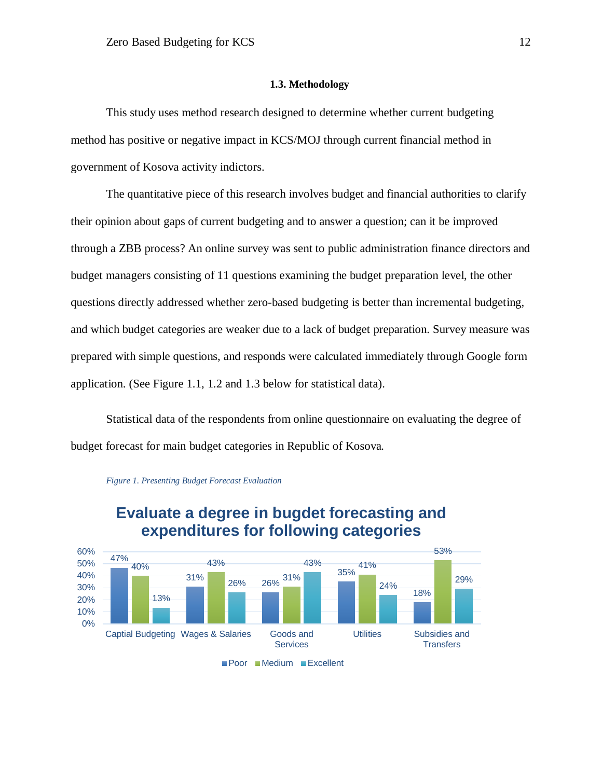#### **1.3. Methodology**

<span id="page-12-0"></span>This study uses method research designed to determine whether current budgeting method has positive or negative impact in KCS/MOJ through current financial method in government of Kosova activity indictors.

The quantitative piece of this research involves budget and financial authorities to clarify their opinion about gaps of current budgeting and to answer a question; can it be improved through a ZBB process? An online survey was sent to public administration finance directors and budget managers consisting of 11 questions examining the budget preparation level, the other questions directly addressed whether zero-based budgeting is better than incremental budgeting, and which budget categories are weaker due to a lack of budget preparation. Survey measure was prepared with simple questions, and responds were calculated immediately through Google form application. (See Figure 1.1, 1.2 and 1.3 below for statistical data).



#### <span id="page-12-1"></span>*Figure 1. Presenting Budget Forecast Evaluation*

Statistical data of the respondents from online questionnaire on evaluating the degree of budget forecast for main budget categories in Republic of Kosova*.*

> **Evaluate a degree in bugdet forecasting and expenditures for following categories**

Poor Medium Excellent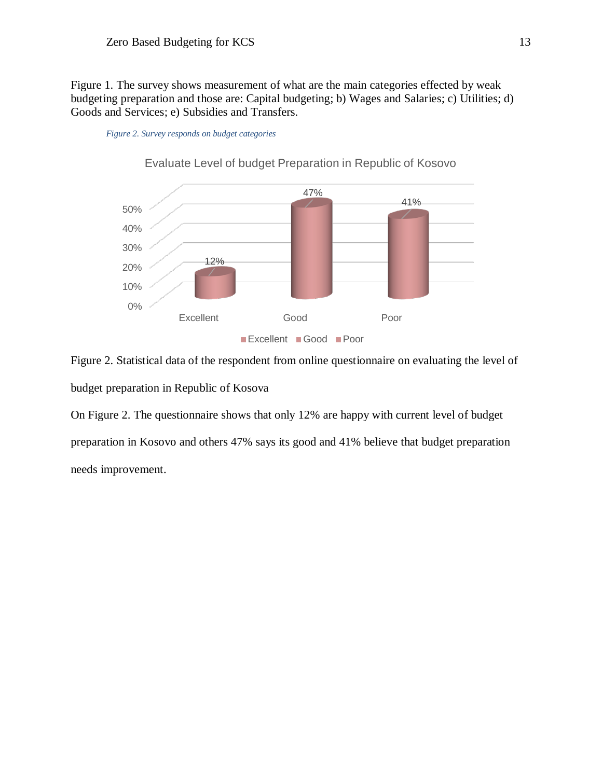Figure 1. The survey shows measurement of what are the main categories effected by weak budgeting preparation and those are: Capital budgeting; b) Wages and Salaries; c) Utilities; d) Goods and Services; e) Subsidies and Transfers.

<span id="page-13-0"></span>



Evaluate Level of budget Preparation in Republic of Kosovo

Figure 2. Statistical data of the respondent from online questionnaire on evaluating the level of budget preparation in Republic of Kosova

On Figure 2. The questionnaire shows that only 12% are happy with current level of budget preparation in Kosovo and others 47% says its good and 41% believe that budget preparation needs improvement.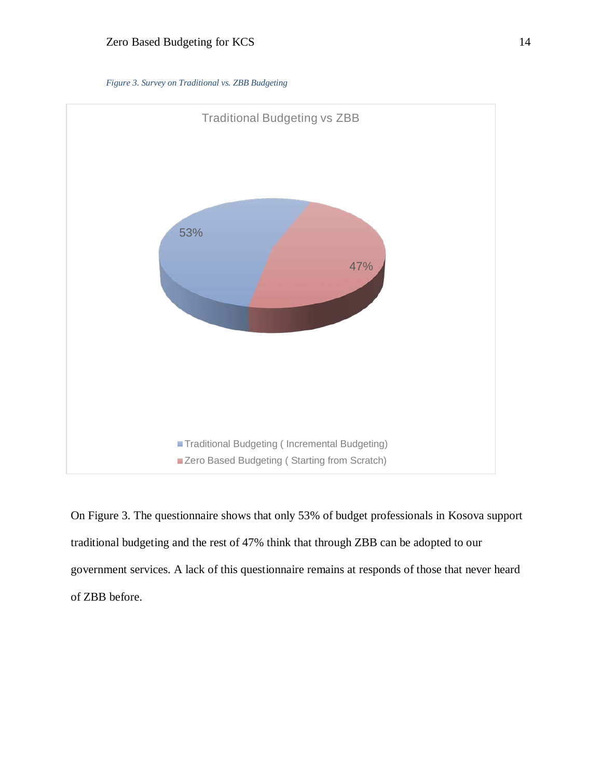

<span id="page-14-0"></span>

On Figure 3. The questionnaire shows that only 53% of budget professionals in Kosova support traditional budgeting and the rest of 47% think that through ZBB can be adopted to our government services. A lack of this questionnaire remains at responds of those that never heard of ZBB before.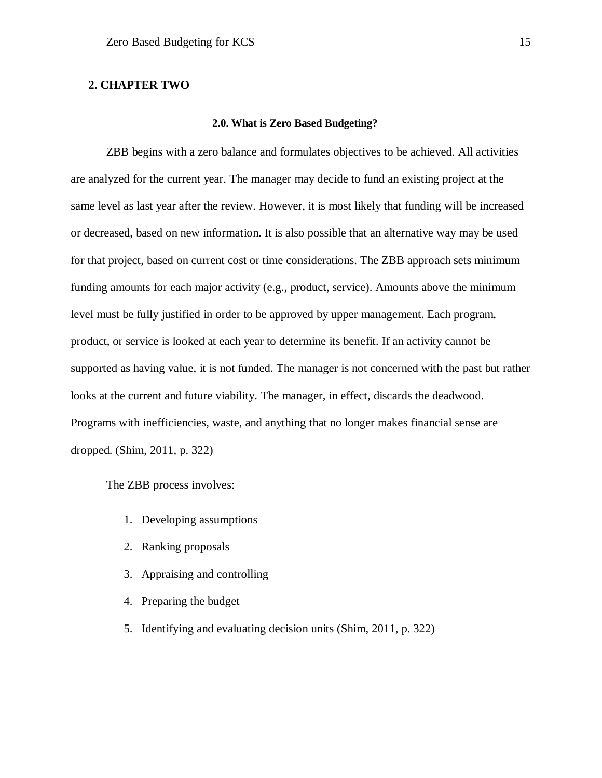#### <span id="page-15-1"></span><span id="page-15-0"></span>**2. CHAPTER TWO**

#### **2.0. What is Zero Based Budgeting?**

ZBB begins with a zero balance and formulates objectives to be achieved. All activities are analyzed for the current year. The manager may decide to fund an existing project at the same level as last year after the review. However, it is most likely that funding will be increased or decreased, based on new information. It is also possible that an alternative way may be used for that project, based on current cost or time considerations. The ZBB approach sets minimum funding amounts for each major activity (e.g., product, service). Amounts above the minimum level must be fully justified in order to be approved by upper management. Each program, product, or service is looked at each year to determine its benefit. If an activity cannot be supported as having value, it is not funded. The manager is not concerned with the past but rather looks at the current and future viability. The manager, in effect, discards the deadwood. Programs with inefficiencies, waste, and anything that no longer makes financial sense are dropped. (Shim, 2011, p. 322)

The ZBB process involves:

- 1. Developing assumptions
- 2. Ranking proposals
- 3. Appraising and controlling
- 4. Preparing the budget
- 5. Identifying and evaluating decision units (Shim, 2011, p. 322)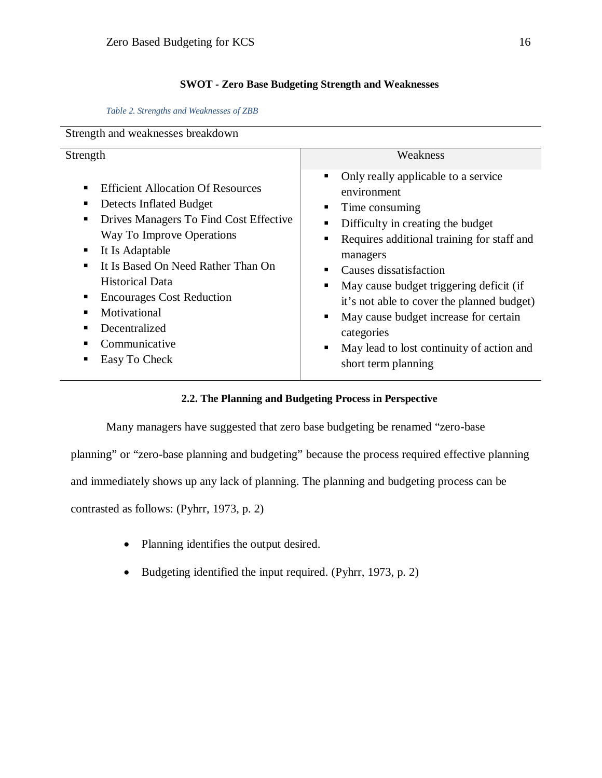#### **SWOT - Zero Base Budgeting Strength and Weaknesses**

<span id="page-16-0"></span>*Table 2. Strengths and Weaknesses of ZBB*

<span id="page-16-2"></span>

| Strength and weaknesses breakdown                                                                                                                                                                                                                                                                                                                                  |                                                                                                                                                                                                                                                                                                                                                                                                                        |  |  |  |  |  |  |
|--------------------------------------------------------------------------------------------------------------------------------------------------------------------------------------------------------------------------------------------------------------------------------------------------------------------------------------------------------------------|------------------------------------------------------------------------------------------------------------------------------------------------------------------------------------------------------------------------------------------------------------------------------------------------------------------------------------------------------------------------------------------------------------------------|--|--|--|--|--|--|
| Strength                                                                                                                                                                                                                                                                                                                                                           | Weakness                                                                                                                                                                                                                                                                                                                                                                                                               |  |  |  |  |  |  |
| <b>Efficient Allocation Of Resources</b><br>٠<br>Detects Inflated Budget<br>٠<br>Drives Managers To Find Cost Effective<br>٠<br>Way To Improve Operations<br>It Is Adaptable<br>٠<br>It Is Based On Need Rather Than On<br><b>Historical Data</b><br><b>Encourages Cost Reduction</b><br>٠<br>Motivational<br>٠<br>Decentralized<br>Communicative<br>Easy To Check | Only really applicable to a service<br>٠<br>environment<br>Time consuming<br>Difficulty in creating the budget<br>Requires additional training for staff and<br>managers<br>Causes dissatisfaction<br>May cause budget triggering deficit (if<br>it's not able to cover the planned budget)<br>May cause budget increase for certain<br>categories<br>May lead to lost continuity of action and<br>short term planning |  |  |  |  |  |  |

#### **2.2. The Planning and Budgeting Process in Perspective**

<span id="page-16-1"></span>Many managers have suggested that zero base budgeting be renamed "zero-base

planning" or "zero-base planning and budgeting" because the process required effective planning

and immediately shows up any lack of planning. The planning and budgeting process can be

contrasted as follows: (Pyhrr, 1973, p. 2)

- Planning identifies the output desired.
- Budgeting identified the input required. (Pyhrr, 1973, p. 2)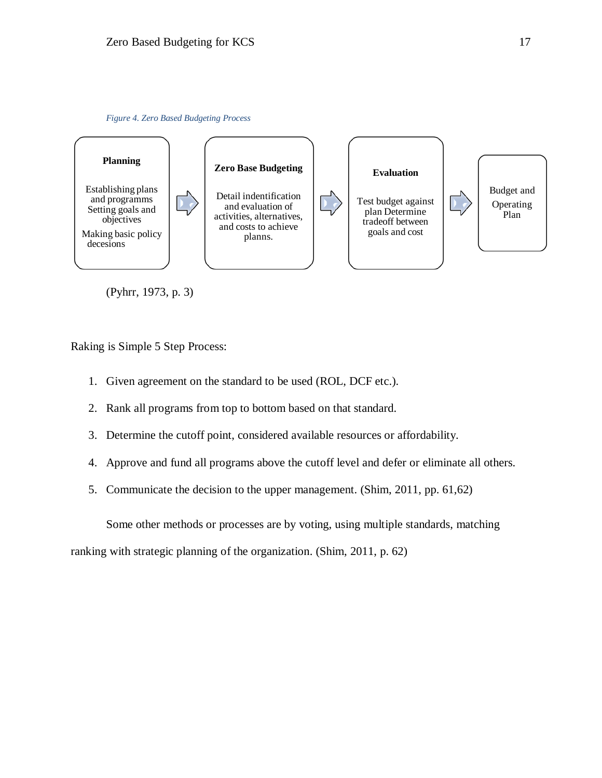

<span id="page-17-0"></span>

(Pyhrr, 1973, p. 3)

Raking is Simple 5 Step Process:

- 1. Given agreement on the standard to be used (ROL, DCF etc.).
- 2. Rank all programs from top to bottom based on that standard.
- 3. Determine the cutoff point, considered available resources or affordability.
- 4. Approve and fund all programs above the cutoff level and defer or eliminate all others.
- 5. Communicate the decision to the upper management. (Shim, 2011, pp. 61,62)

Some other methods or processes are by voting, using multiple standards, matching

ranking with strategic planning of the organization. (Shim, 2011, p. 62)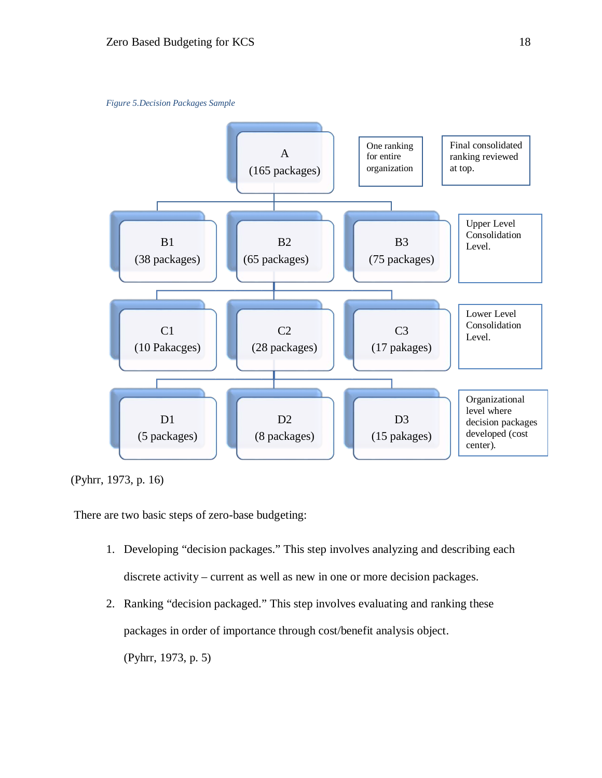

<span id="page-18-0"></span>

(Pyhrr, 1973, p. 16)

There are two basic steps of zero-base budgeting:

- 1. Developing "decision packages." This step involves analyzing and describing each discrete activity – current as well as new in one or more decision packages.
- 2. Ranking "decision packaged." This step involves evaluating and ranking these packages in order of importance through cost/benefit analysis object. (Pyhrr, 1973, p. 5)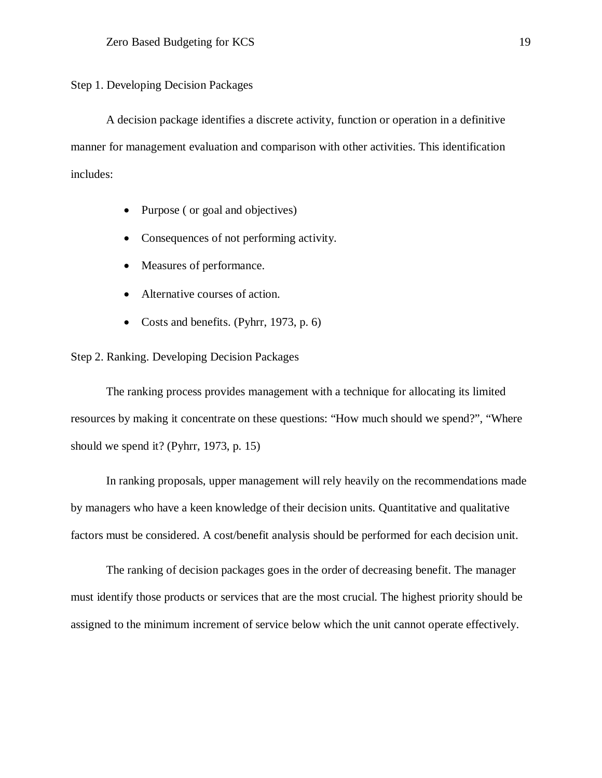Step 1. Developing Decision Packages

A decision package identifies a discrete activity, function or operation in a definitive manner for management evaluation and comparison with other activities. This identification includes:

- Purpose (or goal and objectives)
- Consequences of not performing activity.
- Measures of performance.
- Alternative courses of action.
- Costs and benefits. (Pyhrr, 1973, p. 6)

#### Step 2. Ranking. Developing Decision Packages

The ranking process provides management with a technique for allocating its limited resources by making it concentrate on these questions: "How much should we spend?", "Where should we spend it? (Pyhrr, 1973, p. 15)

In ranking proposals, upper management will rely heavily on the recommendations made by managers who have a keen knowledge of their decision units. Quantitative and qualitative factors must be considered. A cost/benefit analysis should be performed for each decision unit.

The ranking of decision packages goes in the order of decreasing benefit. The manager must identify those products or services that are the most crucial. The highest priority should be assigned to the minimum increment of service below which the unit cannot operate effectively.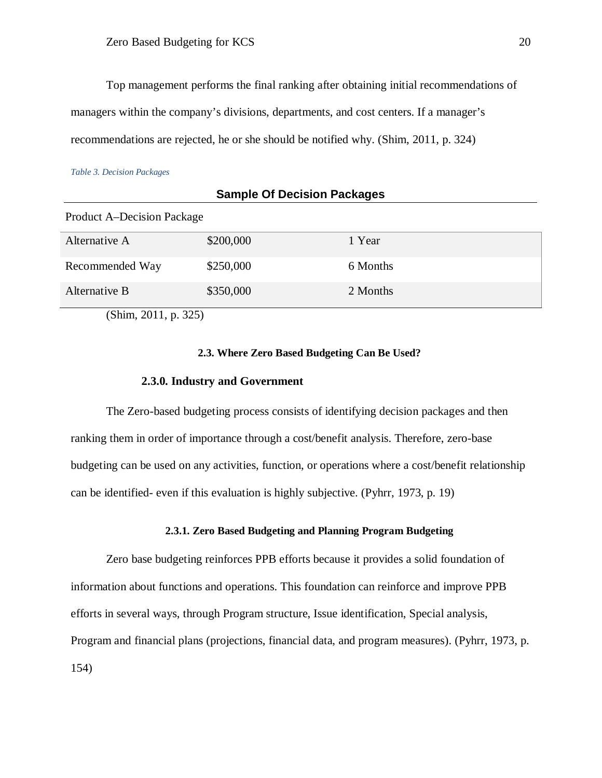Top management performs the final ranking after obtaining initial recommendations of managers within the company's divisions, departments, and cost centers. If a manager's recommendations are rejected, he or she should be notified why. (Shim, 2011, p. 324)

<span id="page-20-3"></span>*Table 3. Decision Packages*

| <b>Sample Of Decision Packages</b> |           |          |  |  |  |  |  |  |
|------------------------------------|-----------|----------|--|--|--|--|--|--|
| <b>Product A–Decision Package</b>  |           |          |  |  |  |  |  |  |
| Alternative A                      | \$200,000 | 1 Year   |  |  |  |  |  |  |
| Recommended Way                    | \$250,000 | 6 Months |  |  |  |  |  |  |
| Alternative B                      | \$350,000 | 2 Months |  |  |  |  |  |  |
| (Shim, 2011, p. 325)               |           |          |  |  |  |  |  |  |

#### **2.3. Where Zero Based Budgeting Can Be Used?**

#### **2.3.0. Industry and Government**

<span id="page-20-1"></span><span id="page-20-0"></span>The Zero-based budgeting process consists of identifying decision packages and then ranking them in order of importance through a cost/benefit analysis. Therefore, zero-base budgeting can be used on any activities, function, or operations where a cost/benefit relationship can be identified- even if this evaluation is highly subjective. (Pyhrr, 1973, p. 19)

#### **2.3.1. Zero Based Budgeting and Planning Program Budgeting**

<span id="page-20-2"></span>Zero base budgeting reinforces PPB efforts because it provides a solid foundation of information about functions and operations. This foundation can reinforce and improve PPB efforts in several ways, through Program structure, Issue identification, Special analysis, Program and financial plans (projections, financial data, and program measures). (Pyhrr, 1973, p. 154)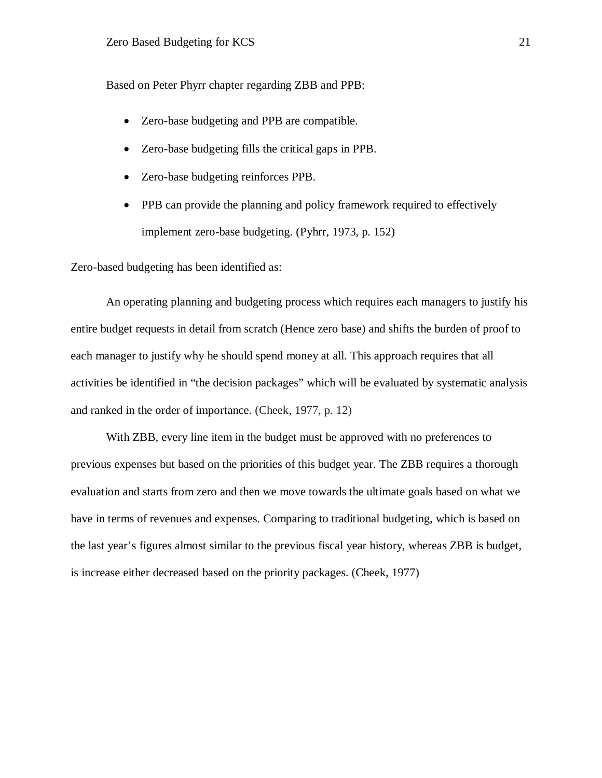Based on Peter Phyrr chapter regarding ZBB and PPB:

- Zero-base budgeting and PPB are compatible.
- Zero-base budgeting fills the critical gaps in PPB.
- Zero-base budgeting reinforces PPB.
- PPB can provide the planning and policy framework required to effectively implement zero-base budgeting. (Pyhrr, 1973, p. 152)

Zero-based budgeting has been identified as:

An operating planning and budgeting process which requires each managers to justify his entire budget requests in detail from scratch (Hence zero base) and shifts the burden of proof to each manager to justify why he should spend money at all. This approach requires that all activities be identified in "the decision packages" which will be evaluated by systematic analysis and ranked in the order of importance. (Cheek, 1977, p. 12)

With ZBB, every line item in the budget must be approved with no preferences to previous expenses but based on the priorities of this budget year. The ZBB requires a thorough evaluation and starts from zero and then we move towards the ultimate goals based on what we have in terms of revenues and expenses. Comparing to traditional budgeting, which is based on the last year's figures almost similar to the previous fiscal year history, whereas ZBB is budget, is increase either decreased based on the priority packages. (Cheek, 1977)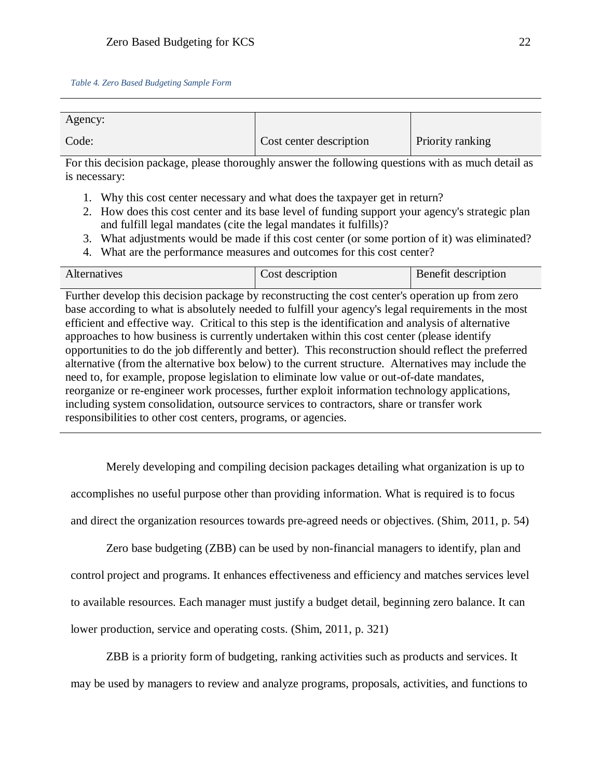<span id="page-22-0"></span>

| Agency: |                         |                         |
|---------|-------------------------|-------------------------|
| Code:   | Cost center description | <b>Priority ranking</b> |

For this decision package, please thoroughly answer the following questions with as much detail as is necessary:

- 1. Why this cost center necessary and what does the taxpayer get in return?
- 2. How does this cost center and its base level of funding support your agency's strategic plan and fulfill legal mandates (cite the legal mandates it fulfills)?
- 3. What adjustments would be made if this cost center (or some portion of it) was eliminated?
- 4. What are the performance measures and outcomes for this cost center?

| Alternatives | Cost description | Benefit description |
|--------------|------------------|---------------------|

Further develop this decision package by reconstructing the cost center's operation up from zero base according to what is absolutely needed to fulfill your agency's legal requirements in the most efficient and effective way. Critical to this step is the identification and analysis of alternative approaches to how business is currently undertaken within this cost center (please identify opportunities to do the job differently and better). This reconstruction should reflect the preferred alternative (from the alternative box below) to the current structure. Alternatives may include the need to, for example, propose legislation to eliminate low value or out-of-date mandates, reorganize or re-engineer work processes, further exploit information technology applications, including system consolidation, outsource services to contractors, share or transfer work responsibilities to other cost centers, programs, or agencies.

Merely developing and compiling decision packages detailing what organization is up to accomplishes no useful purpose other than providing information. What is required is to focus and direct the organization resources towards pre-agreed needs or objectives. (Shim, 2011, p. 54)

Zero base budgeting (ZBB) can be used by non-financial managers to identify, plan and control project and programs. It enhances effectiveness and efficiency and matches services level to available resources. Each manager must justify a budget detail, beginning zero balance. It can lower production, service and operating costs. (Shim, 2011, p. 321)

ZBB is a priority form of budgeting, ranking activities such as products and services. It may be used by managers to review and analyze programs, proposals, activities, and functions to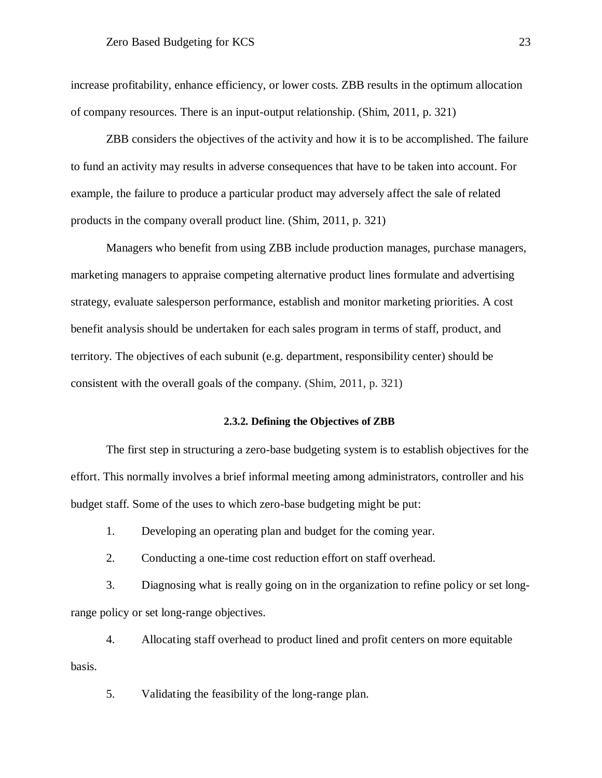increase profitability, enhance efficiency, or lower costs. ZBB results in the optimum allocation of company resources. There is an input-output relationship. (Shim, 2011, p. 321)

ZBB considers the objectives of the activity and how it is to be accomplished. The failure to fund an activity may results in adverse consequences that have to be taken into account. For example, the failure to produce a particular product may adversely affect the sale of related products in the company overall product line. (Shim, 2011, p. 321)

Managers who benefit from using ZBB include production manages, purchase managers, marketing managers to appraise competing alternative product lines formulate and advertising strategy, evaluate salesperson performance, establish and monitor marketing priorities. A cost benefit analysis should be undertaken for each sales program in terms of staff, product, and territory. The objectives of each subunit (e.g. department, responsibility center) should be consistent with the overall goals of the company. (Shim, 2011, p. 321)

#### **2.3.2. Defining the Objectives of ZBB**

<span id="page-23-0"></span>The first step in structuring a zero-base budgeting system is to establish objectives for the effort. This normally involves a brief informal meeting among administrators, controller and his budget staff. Some of the uses to which zero-base budgeting might be put:

1. Developing an operating plan and budget for the coming year.

2. Conducting a one-time cost reduction effort on staff overhead.

3. Diagnosing what is really going on in the organization to refine policy or set longrange policy or set long-range objectives.

4. Allocating staff overhead to product lined and profit centers on more equitable basis.

5. Validating the feasibility of the long-range plan.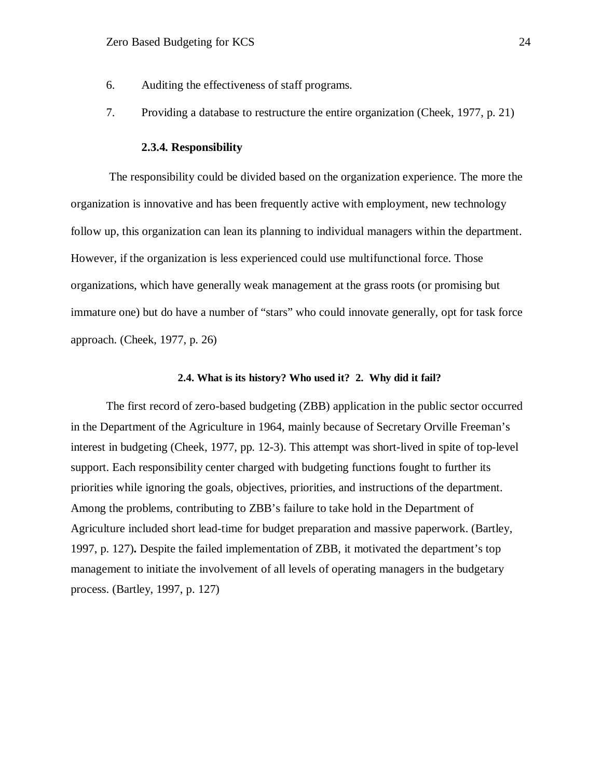- 6. Auditing the effectiveness of staff programs.
- 7. Providing a database to restructure the entire organization (Cheek, 1977, p. 21)

#### **2.3.4. Responsibility**

<span id="page-24-0"></span>The responsibility could be divided based on the organization experience. The more the organization is innovative and has been frequently active with employment, new technology follow up, this organization can lean its planning to individual managers within the department. However, if the organization is less experienced could use multifunctional force. Those organizations, which have generally weak management at the grass roots (or promising but immature one) but do have a number of "stars" who could innovate generally, opt for task force approach. (Cheek, 1977, p. 26)

#### **2.4. What is its history? Who used it? 2. Why did it fail?**

<span id="page-24-1"></span>The first record of zero-based budgeting (ZBB) application in the public sector occurred in the Department of the Agriculture in 1964, mainly because of Secretary Orville Freeman's interest in budgeting (Cheek, 1977, pp. 12-3). This attempt was short-lived in spite of top-level support. Each responsibility center charged with budgeting functions fought to further its priorities while ignoring the goals, objectives, priorities, and instructions of the department. Among the problems, contributing to ZBB's failure to take hold in the Department of Agriculture included short lead-time for budget preparation and massive paperwork. (Bartley, 1997, p. 127)**.** Despite the failed implementation of ZBB, it motivated the department's top management to initiate the involvement of all levels of operating managers in the budgetary process. (Bartley, 1997, p. 127)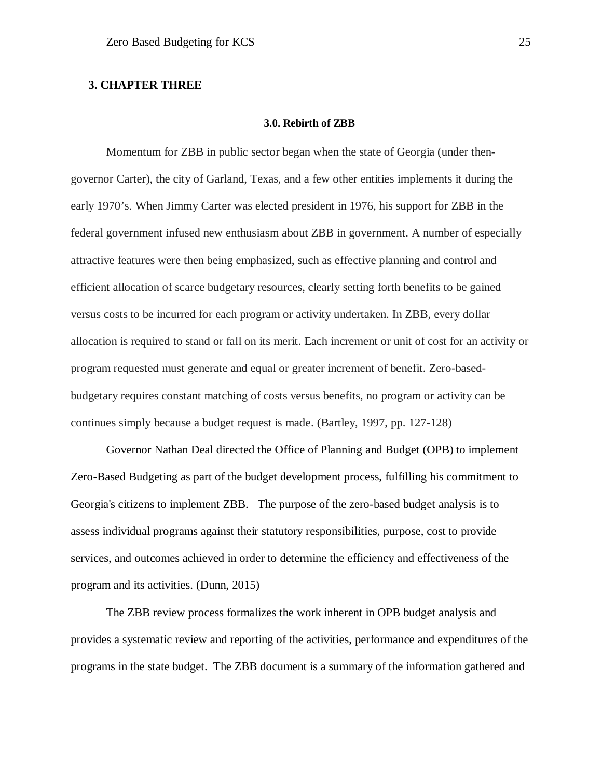#### <span id="page-25-1"></span><span id="page-25-0"></span>**3. CHAPTER THREE**

#### **3.0. Rebirth of ZBB**

Momentum for ZBB in public sector began when the state of Georgia (under thengovernor Carter), the city of Garland, Texas, and a few other entities implements it during the early 1970's. When Jimmy Carter was elected president in 1976, his support for ZBB in the federal government infused new enthusiasm about ZBB in government. A number of especially attractive features were then being emphasized, such as effective planning and control and efficient allocation of scarce budgetary resources, clearly setting forth benefits to be gained versus costs to be incurred for each program or activity undertaken. In ZBB, every dollar allocation is required to stand or fall on its merit. Each increment or unit of cost for an activity or program requested must generate and equal or greater increment of benefit. Zero-basedbudgetary requires constant matching of costs versus benefits, no program or activity can be continues simply because a budget request is made. (Bartley, 1997, pp. 127-128)

Governor Nathan Deal directed the Office of Planning and Budget (OPB) to implement Zero-Based Budgeting as part of the budget development process, fulfilling his commitment to Georgia's citizens to implement ZBB. The purpose of the zero-based budget analysis is to assess individual programs against their statutory responsibilities, purpose, cost to provide services, and outcomes achieved in order to determine the efficiency and effectiveness of the program and its activities. (Dunn, 2015)

The ZBB review process formalizes the work inherent in OPB budget analysis and provides a systematic review and reporting of the activities, performance and expenditures of the programs in the state budget. The ZBB document is a summary of the information gathered and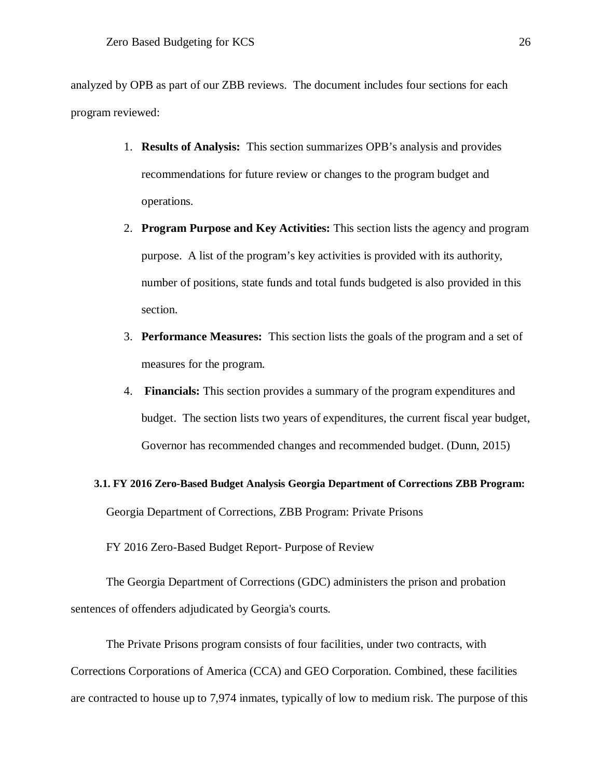analyzed by OPB as part of our ZBB reviews. The document includes four sections for each program reviewed:

- 1. **Results of Analysis:** This section summarizes OPB's analysis and provides recommendations for future review or changes to the program budget and operations.
- 2. **Program Purpose and Key Activities:** This section lists the agency and program purpose. A list of the program's key activities is provided with its authority, number of positions, state funds and total funds budgeted is also provided in this section.
- 3. **Performance Measures:** This section lists the goals of the program and a set of measures for the program.
- 4. **Financials:** This section provides a summary of the program expenditures and budget. The section lists two years of expenditures, the current fiscal year budget, Governor has recommended changes and recommended budget. (Dunn, 2015)

## <span id="page-26-0"></span>**3.1. FY 2016 Zero-Based Budget Analysis Georgia Department of Corrections ZBB Program:** Georgia Department of Corrections, ZBB Program: Private Prisons

FY 2016 Zero-Based Budget Report- Purpose of Review

The Georgia Department of Corrections (GDC) administers the prison and probation sentences of offenders adjudicated by Georgia's courts.

The Private Prisons program consists of four facilities, under two contracts, with Corrections Corporations of America (CCA) and GEO Corporation. Combined, these facilities are contracted to house up to 7,974 inmates, typically of low to medium risk. The purpose of this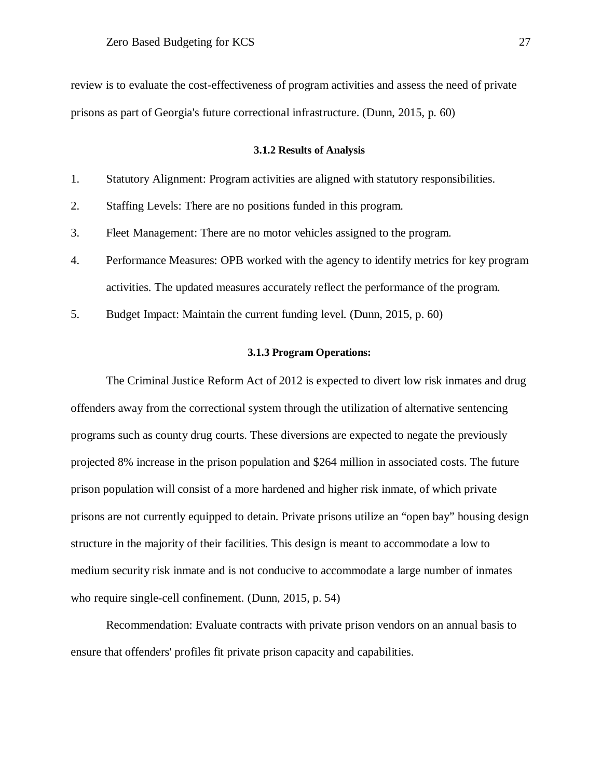review is to evaluate the cost-effectiveness of program activities and assess the need of private prisons as part of Georgia's future correctional infrastructure. (Dunn, 2015, p. 60)

#### **3.1.2 Results of Analysis**

<span id="page-27-0"></span>

|  |  |  |  | Statutory Alignment: Program activities are aligned with statutory responsibilities. |  |
|--|--|--|--|--------------------------------------------------------------------------------------|--|
|  |  |  |  |                                                                                      |  |

2. Staffing Levels: There are no positions funded in this program.

3. Fleet Management: There are no motor vehicles assigned to the program.

- 4. Performance Measures: OPB worked with the agency to identify metrics for key program activities. The updated measures accurately reflect the performance of the program.
- 5. Budget Impact: Maintain the current funding level. (Dunn, 2015, p. 60)

#### **3.1.3 Program Operations:**

<span id="page-27-1"></span>The Criminal Justice Reform Act of 2012 is expected to divert low risk inmates and drug offenders away from the correctional system through the utilization of alternative sentencing programs such as county drug courts. These diversions are expected to negate the previously projected 8% increase in the prison population and \$264 million in associated costs. The future prison population will consist of a more hardened and higher risk inmate, of which private prisons are not currently equipped to detain. Private prisons utilize an "open bay" housing design structure in the majority of their facilities. This design is meant to accommodate a low to medium security risk inmate and is not conducive to accommodate a large number of inmates who require single-cell confinement. (Dunn, 2015, p. 54)

Recommendation: Evaluate contracts with private prison vendors on an annual basis to ensure that offenders' profiles fit private prison capacity and capabilities.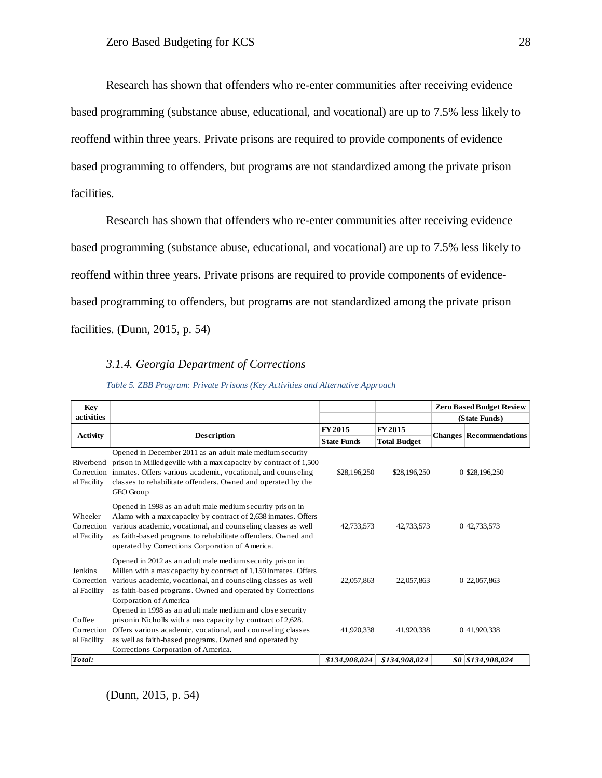Research has shown that offenders who re-enter communities after receiving evidence based programming (substance abuse, educational, and vocational) are up to 7.5% less likely to reoffend within three years. Private prisons are required to provide components of evidence based programming to offenders, but programs are not standardized among the private prison facilities.

Research has shown that offenders who re-enter communities after receiving evidence based programming (substance abuse, educational, and vocational) are up to 7.5% less likely to reoffend within three years. Private prisons are required to provide components of evidencebased programming to offenders, but programs are not standardized among the private prison facilities. (Dunn, 2015, p. 54)

#### *3.1.4. Georgia Department of Corrections*

<span id="page-28-0"></span>

| Key                                  |                                                                                                                                                                                                                                                                                                                |                    |                     | <b>Zero Based Budget Review</b> |  |
|--------------------------------------|----------------------------------------------------------------------------------------------------------------------------------------------------------------------------------------------------------------------------------------------------------------------------------------------------------------|--------------------|---------------------|---------------------------------|--|
| activities                           |                                                                                                                                                                                                                                                                                                                |                    |                     | (State Funds)                   |  |
|                                      |                                                                                                                                                                                                                                                                                                                | FY 2015            | FY 2015             |                                 |  |
| <b>Activity</b>                      | <b>Description</b>                                                                                                                                                                                                                                                                                             | <b>State Funds</b> | <b>Total Budget</b> | <b>Changes Recommendations</b>  |  |
| Riverbend<br>al Facility             | Opened in December 2011 as an adult male medium security<br>prison in Milledgeville with a max capacity by contract of 1,500<br>Correction inmates. Offers various academic, vocational, and counseling<br>classes to rehabilitate offenders. Owned and operated by the<br>GEO Group                           | \$28,196,250       | \$28,196,250        | 0 \$28,196,250                  |  |
| Wheeler<br>Correction<br>al Facility | Opened in 1998 as an adult male medium security prison in<br>Alamo with a max capacity by contract of 2,638 inmates. Offers<br>various academic, vocational, and counseling classes as well<br>as faith-based programs to rehabilitate offenders. Owned and<br>operated by Corrections Corporation of America. | 42,733,573         | 42,733,573          | 0 42,733,573                    |  |
| Jenkins<br>Correction<br>al Facility | Opened in 2012 as an adult male medium security prison in<br>Millen with a max capacity by contract of 1,150 inmates. Offers<br>various academic, vocational, and counseling classes as well<br>as faith-based programs. Owned and operated by Corrections<br>Corporation of America                           | 22,057,863         | 22,057,863          | 0 22,057,863                    |  |
| Coffee<br>Correction<br>al Facility  | Opened in 1998 as an adult male medium and close security<br>prison in Nicholls with a max capacity by contract of 2,628.<br>Offers various academic, vocational, and counseling classes<br>as well as faith-based programs. Owned and operated by<br>Corrections Corporation of America.                      | 41.920.338         | 41.920.338          | 0 41.920.338                    |  |
| Total:                               |                                                                                                                                                                                                                                                                                                                | \$134,908,024      | \$134,908,024       | \$0 \$134,908,024               |  |

*Table 5. ZBB Program: Private Prisons (Key Activities and Alternative Approach*

(Dunn, 2015, p. 54)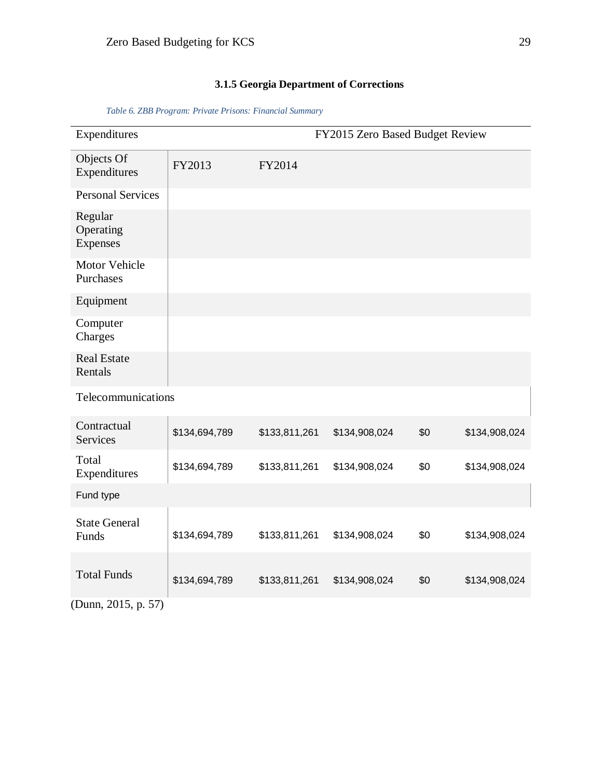## **3.1.5 Georgia Department of Corrections**

<span id="page-29-1"></span><span id="page-29-0"></span>

|                    |               | FY2015 Zero Based Budget Review |     |               |
|--------------------|---------------|---------------------------------|-----|---------------|
| FY2013             | FY2014        |                                 |     |               |
|                    |               |                                 |     |               |
|                    |               |                                 |     |               |
|                    |               |                                 |     |               |
|                    |               |                                 |     |               |
|                    |               |                                 |     |               |
|                    |               |                                 |     |               |
| Telecommunications |               |                                 |     |               |
| \$134,694,789      | \$133,811,261 | \$134,908,024                   | \$0 | \$134,908,024 |
| \$134,694,789      | \$133,811,261 | \$134,908,024                   | \$0 | \$134,908,024 |
|                    |               |                                 |     |               |
| \$134,694,789      | \$133,811,261 | \$134,908,024                   | \$0 | \$134,908,024 |
| \$134,694,789      | \$133,811,261 | \$134,908,024                   | \$0 | \$134,908,024 |
|                    |               |                                 |     |               |

*Table 6. ZBB Program: Private Prisons: Financial Summary*

(Dunn, 2015, p. 57)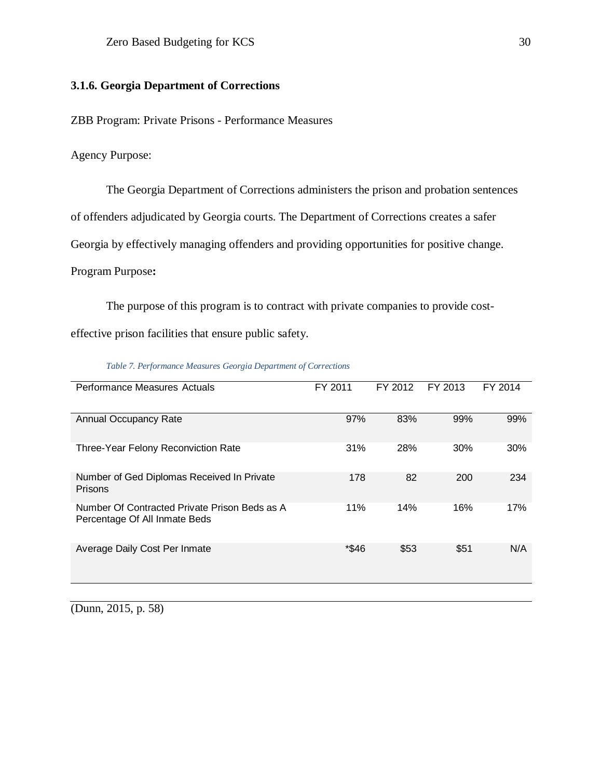## **3.1.6. Georgia Department of Corrections**

ZBB Program: Private Prisons - Performance Measures

Agency Purpose:

The Georgia Department of Corrections administers the prison and probation sentences of offenders adjudicated by Georgia courts. The Department of Corrections creates a safer Georgia by effectively managing offenders and providing opportunities for positive change. Program Purpose**:**

The purpose of this program is to contract with private companies to provide costeffective prison facilities that ensure public safety.

<span id="page-30-0"></span>

| <b>Performance Measures Actuals</b>                                            | FY 2011 | FY 2012 | FY 2013 | FY 2014 |
|--------------------------------------------------------------------------------|---------|---------|---------|---------|
| <b>Annual Occupancy Rate</b>                                                   | 97%     | 83%     | 99%     | 99%     |
| Three-Year Felony Reconviction Rate                                            | 31%     | 28%     | 30%     | 30%     |
| Number of Ged Diplomas Received In Private<br>Prisons                          | 178     | 82      | 200     | 234     |
| Number Of Contracted Private Prison Beds as A<br>Percentage Of All Inmate Beds | 11%     | 14%     | 16%     | 17%     |
| Average Daily Cost Per Inmate                                                  | *\$46   | \$53    | \$51    | N/A     |

*Table 7. Performance Measures Georgia Department of Corrections*

(Dunn, 2015, p. 58)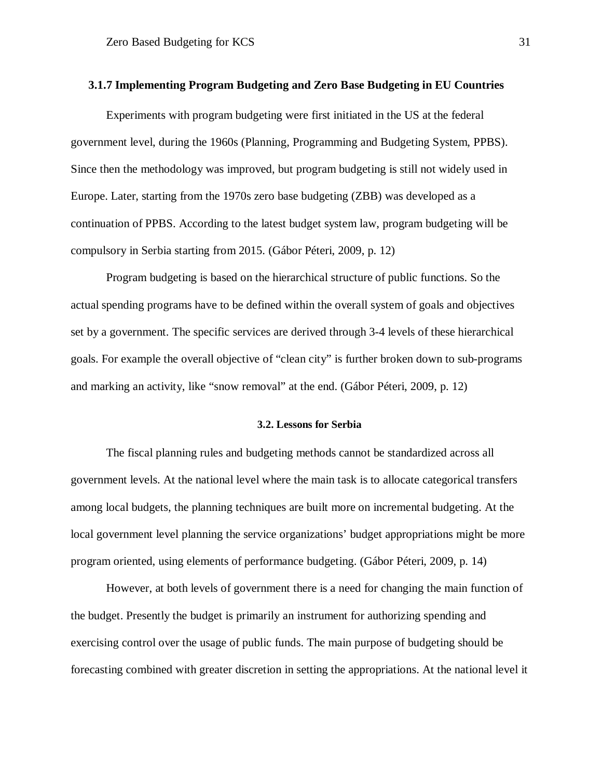#### <span id="page-31-0"></span>**3.1.7 Implementing Program Budgeting and Zero Base Budgeting in EU Countries**

Experiments with program budgeting were first initiated in the US at the federal government level, during the 1960s (Planning, Programming and Budgeting System, PPBS). Since then the methodology was improved, but program budgeting is still not widely used in Europe. Later, starting from the 1970s zero base budgeting (ZBB) was developed as a continuation of PPBS. According to the latest budget system law, program budgeting will be compulsory in Serbia starting from 2015. (Gábor Péteri, 2009, p. 12)

Program budgeting is based on the hierarchical structure of public functions. So the actual spending programs have to be defined within the overall system of goals and objectives set by a government. The specific services are derived through 3-4 levels of these hierarchical goals. For example the overall objective of "clean city" is further broken down to sub-programs and marking an activity, like "snow removal" at the end. (Gábor Péteri, 2009, p. 12)

#### **3.2. Lessons for Serbia**

<span id="page-31-1"></span>The fiscal planning rules and budgeting methods cannot be standardized across all government levels. At the national level where the main task is to allocate categorical transfers among local budgets, the planning techniques are built more on incremental budgeting. At the local government level planning the service organizations' budget appropriations might be more program oriented, using elements of performance budgeting. (Gábor Péteri, 2009, p. 14)

However, at both levels of government there is a need for changing the main function of the budget. Presently the budget is primarily an instrument for authorizing spending and exercising control over the usage of public funds. The main purpose of budgeting should be forecasting combined with greater discretion in setting the appropriations. At the national level it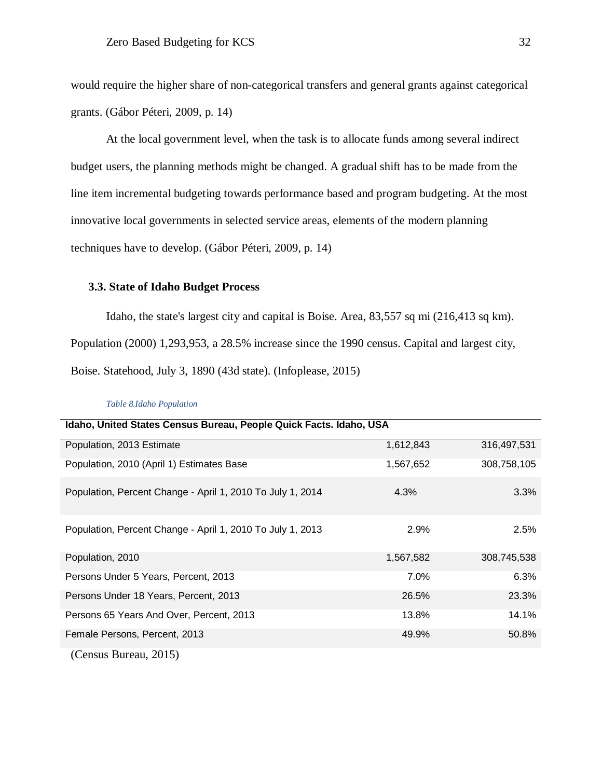would require the higher share of non-categorical transfers and general grants against categorical grants. (Gábor Péteri, 2009, p. 14)

At the local government level, when the task is to allocate funds among several indirect budget users, the planning methods might be changed. A gradual shift has to be made from the line item incremental budgeting towards performance based and program budgeting. At the most innovative local governments in selected service areas, elements of the modern planning techniques have to develop. (Gábor Péteri, 2009, p. 14)

#### <span id="page-32-0"></span>**3.3. State of Idaho Budget Process**

Idaho, the state's largest city and capital is Boise. Area, 83,557 sq mi (216,413 sq km). Population (2000) 1,293,953, a 28.5% increase since the 1990 census. Capital and largest city, Boise. Statehood, July 3, 1890 (43d state). (Infoplease, 2015)

<span id="page-32-1"></span>

| Idaho, United States Census Bureau, People Quick Facts. Idaho, USA |           |             |
|--------------------------------------------------------------------|-----------|-------------|
| Population, 2013 Estimate                                          | 1,612,843 | 316,497,531 |
| Population, 2010 (April 1) Estimates Base                          | 1,567,652 | 308,758,105 |
| Population, Percent Change - April 1, 2010 To July 1, 2014         | 4.3%      | 3.3%        |
| Population, Percent Change - April 1, 2010 To July 1, 2013         | 2.9%      | 2.5%        |
| Population, 2010                                                   | 1,567,582 | 308,745,538 |
| Persons Under 5 Years, Percent, 2013                               | 7.0%      | 6.3%        |
| Persons Under 18 Years, Percent, 2013                              | 26.5%     | 23.3%       |
| Persons 65 Years And Over, Percent, 2013                           | 13.8%     | 14.1%       |
| Female Persons, Percent, 2013                                      | 49.9%     | 50.8%       |
| (Census Bureau, 2015)                                              |           |             |

#### *Table 8.Idaho Population*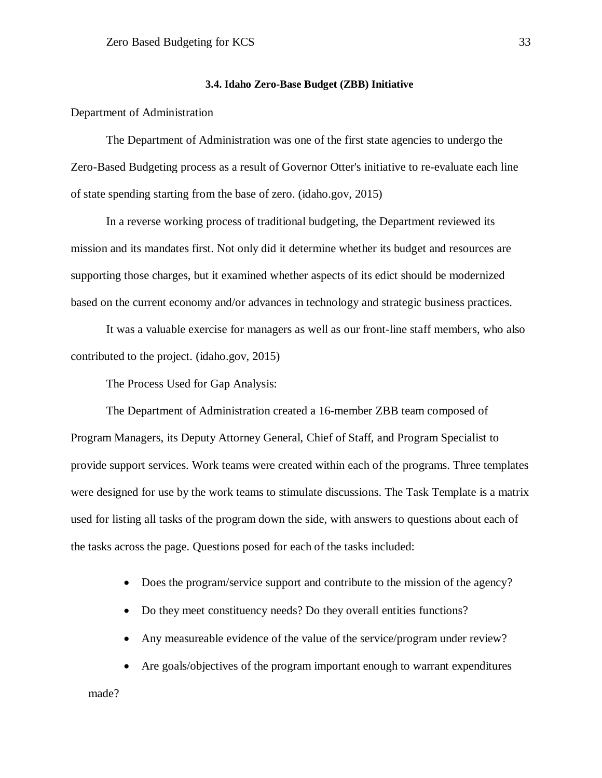#### **3.4. Idaho Zero-Base Budget (ZBB) Initiative**

<span id="page-33-0"></span>Department of Administration

The Department of Administration was one of the first state agencies to undergo the Zero-Based Budgeting process as a result of Governor Otter's initiative to re-evaluate each line of state spending starting from the base of zero. (idaho.gov, 2015)

In a reverse working process of traditional budgeting, the Department reviewed its mission and its mandates first. Not only did it determine whether its budget and resources are supporting those charges, but it examined whether aspects of its edict should be modernized based on the current economy and/or advances in technology and strategic business practices.

It was a valuable exercise for managers as well as our front-line staff members, who also contributed to the project. (idaho.gov, 2015)

The Process Used for Gap Analysis:

The Department of Administration created a 16-member ZBB team composed of Program Managers, its Deputy Attorney General, Chief of Staff, and Program Specialist to provide support services. Work teams were created within each of the programs. Three templates were designed for use by the work teams to stimulate discussions. The Task Template is a matrix used for listing all tasks of the program down the side, with answers to questions about each of the tasks across the page. Questions posed for each of the tasks included:

- Does the program/service support and contribute to the mission of the agency?
- Do they meet constituency needs? Do they overall entities functions?
- Any measureable evidence of the value of the service/program under review?
- Are goals/objectives of the program important enough to warrant expenditures made?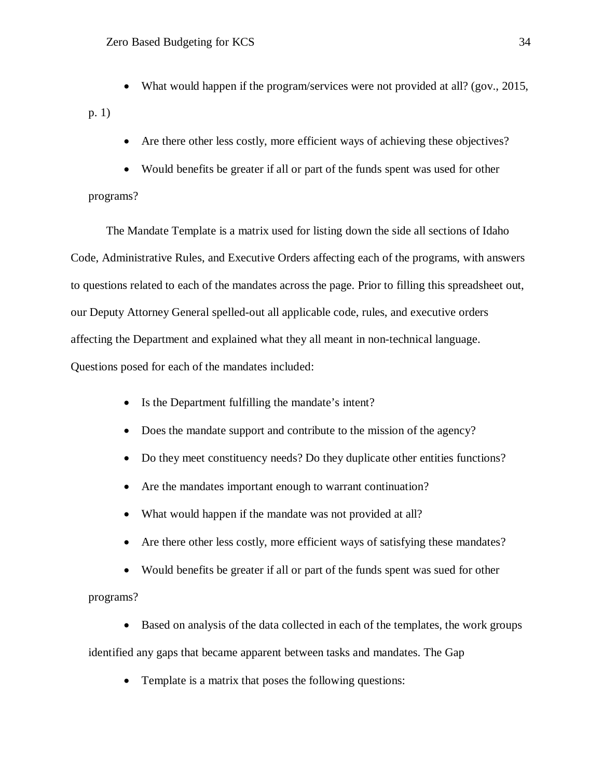• What would happen if the program/services were not provided at all? (gov., 2015,

p. 1)

- Are there other less costly, more efficient ways of achieving these objectives?
- Would benefits be greater if all or part of the funds spent was used for other

#### programs?

The Mandate Template is a matrix used for listing down the side all sections of Idaho Code, Administrative Rules, and Executive Orders affecting each of the programs, with answers to questions related to each of the mandates across the page. Prior to filling this spreadsheet out, our Deputy Attorney General spelled-out all applicable code, rules, and executive orders affecting the Department and explained what they all meant in non-technical language. Questions posed for each of the mandates included:

- Is the Department fulfilling the mandate's intent?
- Does the mandate support and contribute to the mission of the agency?
- Do they meet constituency needs? Do they duplicate other entities functions?
- Are the mandates important enough to warrant continuation?
- What would happen if the mandate was not provided at all?
- Are there other less costly, more efficient ways of satisfying these mandates?
- Would benefits be greater if all or part of the funds spent was sued for other programs?

• Based on analysis of the data collected in each of the templates, the work groups identified any gaps that became apparent between tasks and mandates. The Gap

• Template is a matrix that poses the following questions: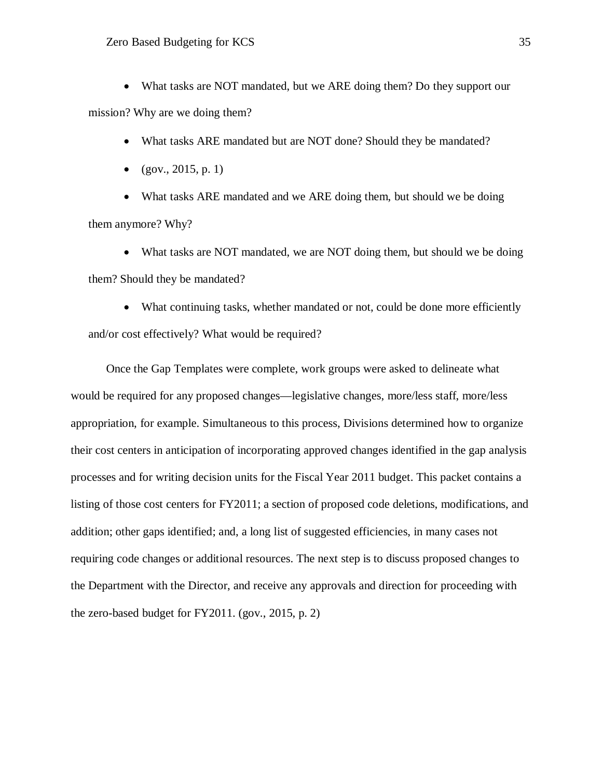• What tasks are NOT mandated, but we ARE doing them? Do they support our mission? Why are we doing them?

- What tasks ARE mandated but are NOT done? Should they be mandated?
- $(gov., 2015, p. 1)$

• What tasks ARE mandated and we ARE doing them, but should we be doing them anymore? Why?

• What tasks are NOT mandated, we are NOT doing them, but should we be doing them? Should they be mandated?

• What continuing tasks, whether mandated or not, could be done more efficiently and/or cost effectively? What would be required?

Once the Gap Templates were complete, work groups were asked to delineate what would be required for any proposed changes—legislative changes, more/less staff, more/less appropriation, for example. Simultaneous to this process, Divisions determined how to organize their cost centers in anticipation of incorporating approved changes identified in the gap analysis processes and for writing decision units for the Fiscal Year 2011 budget. This packet contains a listing of those cost centers for FY2011; a section of proposed code deletions, modifications, and addition; other gaps identified; and, a long list of suggested efficiencies, in many cases not requiring code changes or additional resources. The next step is to discuss proposed changes to the Department with the Director, and receive any approvals and direction for proceeding with the zero-based budget for FY2011. (gov., 2015, p. 2)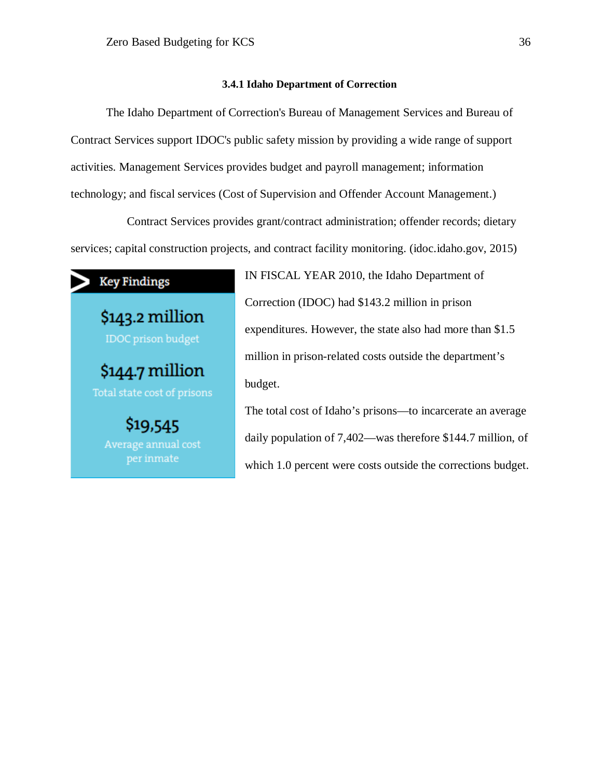#### **3.4.1 Idaho Department of Correction**

<span id="page-36-0"></span>The Idaho Department of Correction's Bureau of Management Services and Bureau of Contract Services support IDOC's public safety mission by providing a wide range of support activities. Management Services provides budget and payroll management; information technology; and fiscal services (Cost of Supervision and Offender Account Management.)

 Contract Services provides grant/contract administration; offender records; dietary services; capital construction projects, and contract facility monitoring. (idoc.idaho.gov, 2015)



\$143.2 million **IDOC** prison budget \$144.7 million Total state cost of prisons \$19,545 Average annual cost per inmate

IN FISCAL YEAR 2010, the Idaho Department of Correction (IDOC) had \$143.2 million in prison expenditures. However, the state also had more than \$1.5 million in prison-related costs outside the department's budget.

The total cost of Idaho's prisons—to incarcerate an average daily population of 7,402—was therefore \$144.7 million, of which 1.0 percent were costs outside the corrections budget.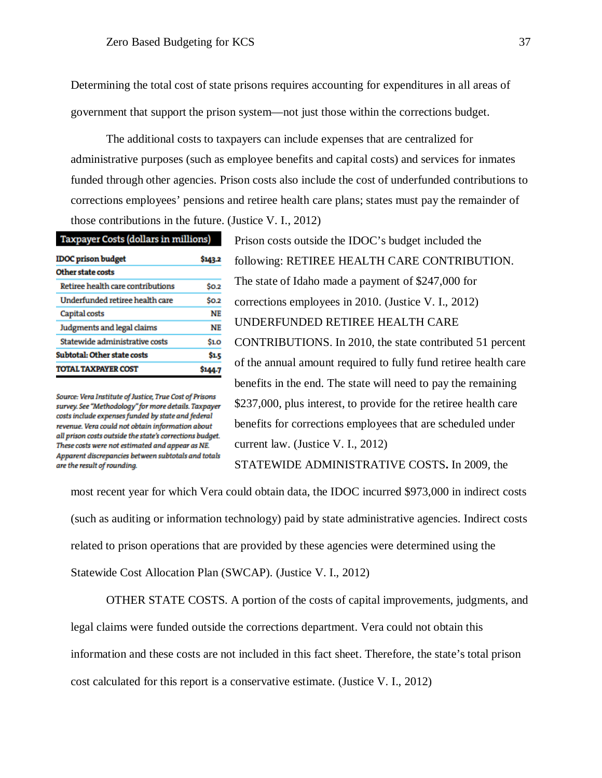Determining the total cost of state prisons requires accounting for expenditures in all areas of government that support the prison system—not just those within the corrections budget.

The additional costs to taxpayers can include expenses that are centralized for administrative purposes (such as employee benefits and capital costs) and services for inmates funded through other agencies. Prison costs also include the cost of underfunded contributions to corrections employees' pensions and retiree health care plans; states must pay the remainder of those contributions in the future. (Justice V. I., 2012)

| Taxpayer Costs (dollars in millions) |  |  |  |  |  |  |
|--------------------------------------|--|--|--|--|--|--|
| \$143.2                              |  |  |  |  |  |  |
|                                      |  |  |  |  |  |  |
| SO.2                                 |  |  |  |  |  |  |
| SO.2                                 |  |  |  |  |  |  |
| NE                                   |  |  |  |  |  |  |
| <b>NE</b>                            |  |  |  |  |  |  |
| <b>\$1.0</b>                         |  |  |  |  |  |  |
| Ŝ1.5                                 |  |  |  |  |  |  |
| \$144.7                              |  |  |  |  |  |  |
|                                      |  |  |  |  |  |  |

Source: Vera Institute of Justice, True Cost of Prisons survey. See "Methodology" for more details. Taxpayer costs include expenses funded by state and federal revenue. Vera could not obtain information about all prison costs outside the state's corrections budget. These costs were not estimated and appear as NE. Apparent discrepancies between subtotals and totals are the result of rounding.

Prison costs outside the IDOC's budget included the following: RETIREE HEALTH CARE CONTRIBUTION. The state of Idaho made a payment of \$247,000 for corrections employees in 2010. (Justice V. I., 2012) UNDERFUNDED RETIREE HEALTH CARE CONTRIBUTIONS. In 2010, the state contributed 51 percent of the annual amount required to fully fund retiree health care benefits in the end. The state will need to pay the remaining \$237,000, plus interest, to provide for the retiree health care benefits for corrections employees that are scheduled under current law. (Justice V. I., 2012) STATEWIDE ADMINISTRATIVE COSTS**.** In 2009, the

most recent year for which Vera could obtain data, the IDOC incurred \$973,000 in indirect costs (such as auditing or information technology) paid by state administrative agencies. Indirect costs related to prison operations that are provided by these agencies were determined using the Statewide Cost Allocation Plan (SWCAP). (Justice V. I., 2012)

OTHER STATE COSTS. A portion of the costs of capital improvements, judgments, and legal claims were funded outside the corrections department. Vera could not obtain this information and these costs are not included in this fact sheet. Therefore, the state's total prison cost calculated for this report is a conservative estimate. (Justice V. I., 2012)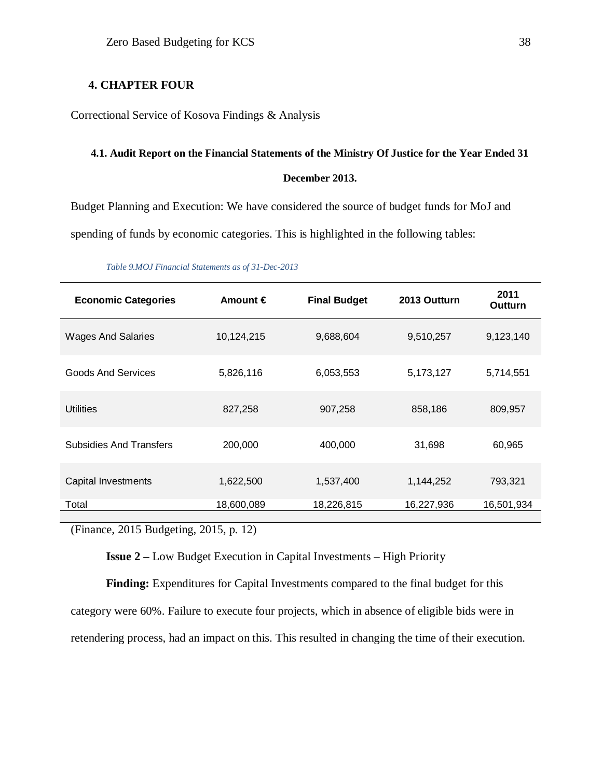## <span id="page-38-0"></span>**4. CHAPTER FOUR**

Correctional Service of Kosova Findings & Analysis

## <span id="page-38-1"></span>**4.1. Audit Report on the Financial Statements of the Ministry Of Justice for the Year Ended 31 December 2013.**

Budget Planning and Execution: We have considered the source of budget funds for MoJ and spending of funds by economic categories. This is highlighted in the following tables:

<span id="page-38-2"></span>

| <b>Economic Categories</b>     | Amount $\in$ | <b>Final Budget</b> | 2013 Outturn | 2011<br><b>Outturn</b> |
|--------------------------------|--------------|---------------------|--------------|------------------------|
| <b>Wages And Salaries</b>      | 10,124,215   | 9,688,604           | 9,510,257    | 9,123,140              |
| <b>Goods And Services</b>      | 5,826,116    | 6,053,553           | 5,173,127    | 5,714,551              |
| <b>Utilities</b>               | 827,258      | 907,258             | 858,186      | 809,957                |
| <b>Subsidies And Transfers</b> | 200,000      | 400,000             | 31,698       | 60,965                 |
| Capital Investments            | 1,622,500    | 1,537,400           | 1,144,252    | 793,321                |
| Total                          | 18,600,089   | 18,226,815          | 16,227,936   | 16,501,934             |

*Table 9.MOJ Financial Statements as of 31-Dec-2013*

(Finance, 2015 Budgeting, 2015, p. 12)

**Issue 2 –** Low Budget Execution in Capital Investments – High Priority

**Finding:** Expenditures for Capital Investments compared to the final budget for this category were 60%. Failure to execute four projects, which in absence of eligible bids were in retendering process, had an impact on this. This resulted in changing the time of their execution.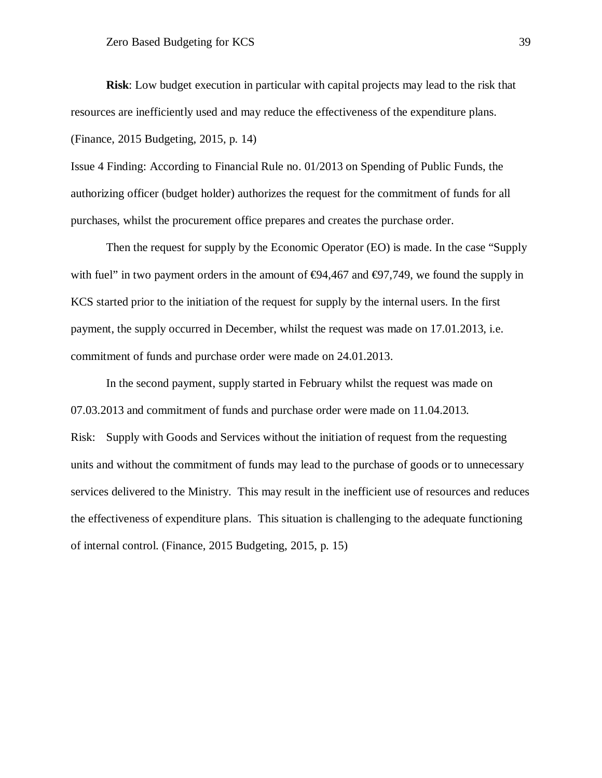**Risk**: Low budget execution in particular with capital projects may lead to the risk that resources are inefficiently used and may reduce the effectiveness of the expenditure plans. (Finance, 2015 Budgeting, 2015, p. 14)

Issue 4 Finding: According to Financial Rule no. 01/2013 on Spending of Public Funds, the authorizing officer (budget holder) authorizes the request for the commitment of funds for all purchases, whilst the procurement office prepares and creates the purchase order.

Then the request for supply by the Economic Operator (EO) is made. In the case "Supply with fuel" in two payment orders in the amount of  $\Theta$ 4,467 and  $\Theta$ 7,749, we found the supply in KCS started prior to the initiation of the request for supply by the internal users. In the first payment, the supply occurred in December, whilst the request was made on 17.01.2013, i.e. commitment of funds and purchase order were made on 24.01.2013.

In the second payment, supply started in February whilst the request was made on 07.03.2013 and commitment of funds and purchase order were made on 11.04.2013. Risk: Supply with Goods and Services without the initiation of request from the requesting units and without the commitment of funds may lead to the purchase of goods or to unnecessary services delivered to the Ministry. This may result in the inefficient use of resources and reduces the effectiveness of expenditure plans. This situation is challenging to the adequate functioning of internal control. (Finance, 2015 Budgeting, 2015, p. 15)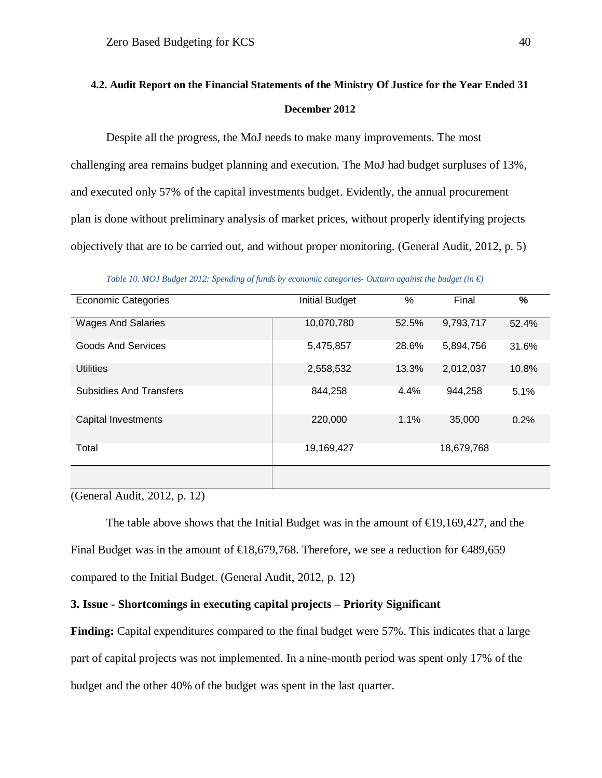## <span id="page-40-0"></span>**4.2. Audit Report on the Financial Statements of the Ministry Of Justice for the Year Ended 31 December 2012**

Despite all the progress, the MoJ needs to make many improvements. The most challenging area remains budget planning and execution. The MoJ had budget surpluses of 13%, and executed only 57% of the capital investments budget. Evidently, the annual procurement plan is done without preliminary analysis of market prices, without properly identifying projects objectively that are to be carried out, and without proper monitoring. (General Audit, 2012, p. 5)

<span id="page-40-1"></span>Economic Categories Initial Budget % Final **%** Wages And Salaries 10,070,780 52.5% 9,793,717 52.4% Goods And Services **6,475,857** 28.6% 5,894,756 31.6% Utilities 2,558,532 13.3% 2,012,037 10.8% Subsidies And Transfers **844,258** 4.4% 944,258 5.1% Capital Investments 220,000 1.1% 35,000 0.2% Total 19,169,427 18,679,768

*Table 10. MOJ Budget 2012: Spending of funds by economic categories- Outturn against the budget (in €)*

(General Audit, 2012, p. 12)

The table above shows that the Initial Budget was in the amount of  $\epsilon \neq 9,169,427$ , and the Final Budget was in the amount of  $\in$ 18,679,768. Therefore, we see a reduction for  $\in$ 489,659 compared to the Initial Budget. (General Audit, 2012, p. 12)

#### **3. Issue - Shortcomings in executing capital projects – Priority Significant**

Finding: Capital expenditures compared to the final budget were 57%. This indicates that a large part of capital projects was not implemented. In a nine-month period was spent only 17% of the budget and the other 40% of the budget was spent in the last quarter.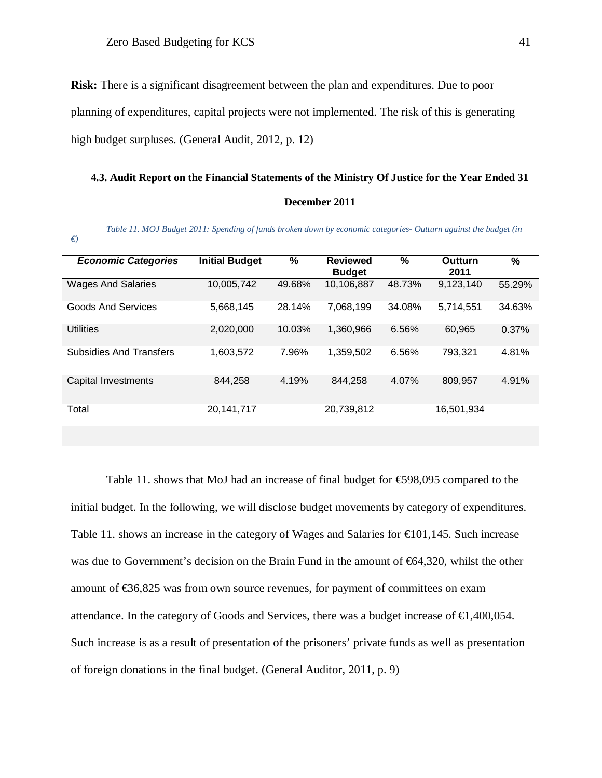**Risk:** There is a significant disagreement between the plan and expenditures. Due to poor planning of expenditures, capital projects were not implemented. The risk of this is generating high budget surpluses. (General Audit, 2012, p. 12)

#### <span id="page-41-0"></span>**4.3. Audit Report on the Financial Statements of the Ministry Of Justice for the Year Ended 31**

#### **December 2011**

*Table 11. MOJ Budget 2011: Spending of funds broken down by economic categories- Outturn against the budget (in* 

<span id="page-41-1"></span>*€)*

| <b>Economic Categories</b>     | <b>Initial Budget</b> | %      | <b>Reviewed</b><br><b>Budget</b> | $\%$   | Outturn<br>2011 | %      |
|--------------------------------|-----------------------|--------|----------------------------------|--------|-----------------|--------|
| <b>Wages And Salaries</b>      | 10,005,742            | 49.68% | 10,106,887                       | 48.73% | 9,123,140       | 55.29% |
| <b>Goods And Services</b>      | 5,668,145             | 28.14% | 7,068,199                        | 34.08% | 5,714,551       | 34.63% |
| <b>Utilities</b>               | 2,020,000             | 10.03% | 1,360,966                        | 6.56%  | 60.965          | 0.37%  |
| <b>Subsidies And Transfers</b> | 1,603,572             | 7.96%  | 1,359,502                        | 6.56%  | 793,321         | 4.81%  |
| <b>Capital Investments</b>     | 844,258               | 4.19%  | 844,258                          | 4.07%  | 809,957         | 4.91%  |
| Total                          | 20, 141, 717          |        | 20,739,812                       |        | 16,501,934      |        |
|                                |                       |        |                                  |        |                 |        |

Table 11. shows that MoJ had an increase of final budget for €598,095 compared to the initial budget. In the following, we will disclose budget movements by category of expenditures. Table 11. shows an increase in the category of Wages and Salaries for  $\in 01,145$ . Such increase was due to Government's decision on the Brain Fund in the amount of €64,320, whilst the other amount of €36,825 was from own source revenues, for payment of committees on exam attendance. In the category of Goods and Services, there was a budget increase of  $\in$ 1,400,054. Such increase is as a result of presentation of the prisoners' private funds as well as presentation of foreign donations in the final budget. (General Auditor, 2011, p. 9)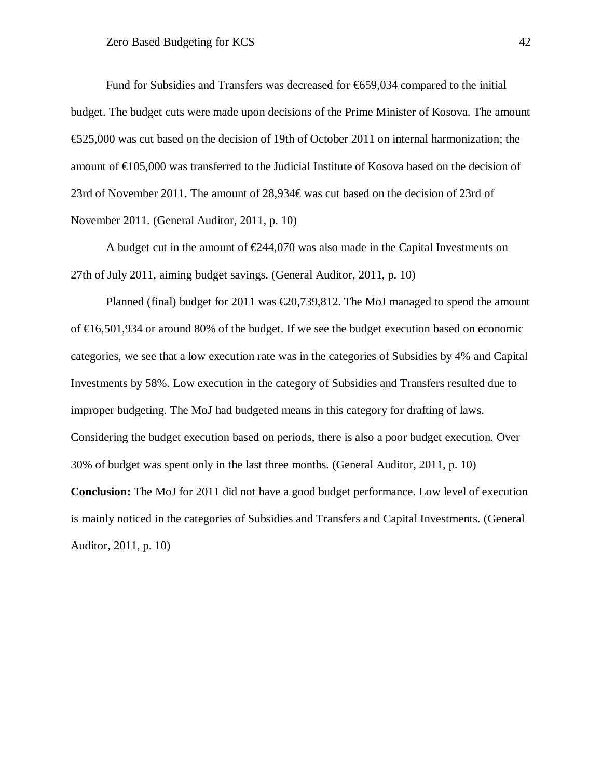Fund for Subsidies and Transfers was decreased for  $\epsilon$ 659,034 compared to the initial budget. The budget cuts were made upon decisions of the Prime Minister of Kosova. The amount €525,000 was cut based on the decision of 19th of October 2011 on internal harmonization; the amount of €105,000 was transferred to the Judicial Institute of Kosova based on the decision of 23rd of November 2011. The amount of 28,934€ was cut based on the decision of 23rd of November 2011. (General Auditor, 2011, p. 10)

A budget cut in the amount of  $\epsilon$ 244,070 was also made in the Capital Investments on 27th of July 2011, aiming budget savings. (General Auditor, 2011, p. 10)

Planned (final) budget for 2011 was  $\epsilon$ 20,739,812. The MoJ managed to spend the amount of  $\in \{6,501,934\}$  or around 80% of the budget. If we see the budget execution based on economic categories, we see that a low execution rate was in the categories of Subsidies by 4% and Capital Investments by 58%. Low execution in the category of Subsidies and Transfers resulted due to improper budgeting. The MoJ had budgeted means in this category for drafting of laws. Considering the budget execution based on periods, there is also a poor budget execution. Over 30% of budget was spent only in the last three months. (General Auditor, 2011, p. 10)

**Conclusion:** The MoJ for 2011 did not have a good budget performance. Low level of execution is mainly noticed in the categories of Subsidies and Transfers and Capital Investments. (General Auditor, 2011, p. 10)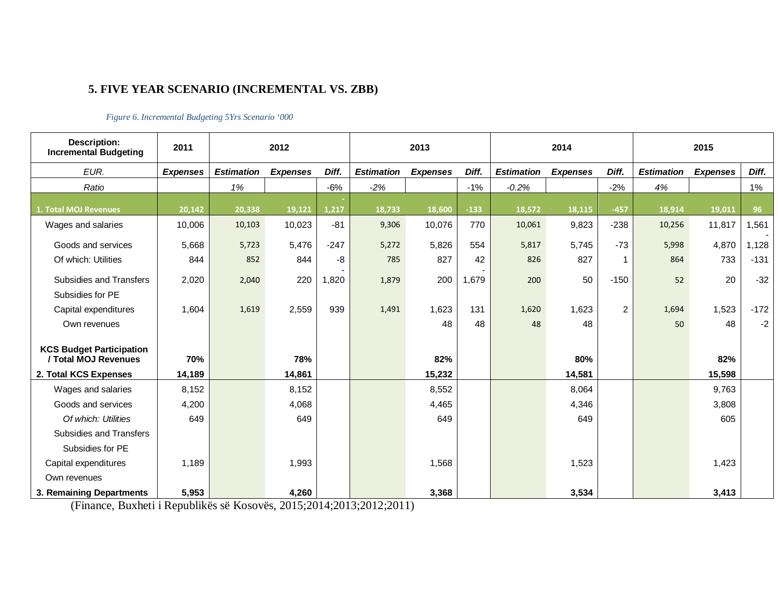## **5. FIVE YEAR SCENARIO (INCREMENTAL VS. ZBB)**

#### *Figure 6. Incremental Budgeting 5Yrs Scenario '000*

<span id="page-43-1"></span><span id="page-43-0"></span>

| <b>Description:</b><br><b>Incremental Budgeting</b>     | 2011            |                   | 2012            |        |                   | 2013            |        |                   | 2014            |                |                   | 2015            |        |
|---------------------------------------------------------|-----------------|-------------------|-----------------|--------|-------------------|-----------------|--------|-------------------|-----------------|----------------|-------------------|-----------------|--------|
| EUR.                                                    | <b>Expenses</b> | <b>Estimation</b> | <b>Expenses</b> | Diff.  | <b>Estimation</b> | <b>Expenses</b> | Diff.  | <b>Estimation</b> | <b>Expenses</b> | Diff.          | <b>Estimation</b> | <b>Expenses</b> | Diff.  |
| Ratio                                                   |                 | 1%                |                 | $-6%$  | $-2%$             |                 | $-1%$  | $-0.2%$           |                 | $-2%$          | 4%                |                 | 1%     |
| <b>1. Total MOJ Revenues</b>                            | 20,142          | 20,338            | 19,121          | 1.217  | 18,733            | 18,600          | $-133$ | 18,572            | 18,115          | $-457$         | 18,914            | 19,011          | 96     |
| Wages and salaries                                      | 10,006          | 10,103            | 10,023          | $-81$  | 9,306             | 10,076          | 770    | 10,061            | 9,823           | $-238$         | 10,256            | 11,817          | 1,561  |
| Goods and services                                      | 5,668           | 5,723             | 5,476           | $-247$ | 5,272             | 5,826           | 554    | 5,817             | 5,745           | $-73$          | 5,998             | 4,870           | 1,128  |
| Of which: Utilities                                     | 844             | 852               | 844             | -8     | 785               | 827             | 42     | 826               | 827             |                | 864               | 733             | $-131$ |
| Subsidies and Transfers                                 | 2,020           | 2,040             | 220             | 1,820  | 1,879             | 200             | 1,679  | 200               | 50              | $-150$         | 52                | 20              | $-32$  |
| Subsidies for PE                                        |                 |                   |                 |        |                   |                 |        |                   |                 |                |                   |                 |        |
| Capital expenditures                                    | 1,604           | 1,619             | 2,559           | 939    | 1,491             | 1,623           | 131    | 1,620             | 1,623           | $\overline{2}$ | 1,694             | 1,523           | $-172$ |
| Own revenues                                            |                 |                   |                 |        |                   | 48              | 48     | 48                | 48              |                | 50                | 48              | $-2$   |
| <b>KCS Budget Participation</b><br>/ Total MOJ Revenues | 70%             |                   | 78%             |        |                   | 82%             |        |                   | 80%             |                |                   | 82%             |        |
| 2. Total KCS Expenses                                   | 14,189          |                   | 14,861          |        |                   | 15,232          |        |                   | 14,581          |                |                   | 15,598          |        |
| Wages and salaries                                      | 8,152           |                   | 8,152           |        |                   | 8,552           |        |                   | 8,064           |                |                   | 9,763           |        |
| Goods and services                                      | 4,200           |                   | 4,068           |        |                   | 4,465           |        |                   | 4,346           |                |                   | 3,808           |        |
| Of which: Utilities                                     | 649             |                   | 649             |        |                   | 649             |        |                   | 649             |                |                   | 605             |        |
| Subsidies and Transfers                                 |                 |                   |                 |        |                   |                 |        |                   |                 |                |                   |                 |        |
| Subsidies for PE                                        |                 |                   |                 |        |                   |                 |        |                   |                 |                |                   |                 |        |
| Capital expenditures                                    | 1,189           |                   | 1,993           |        |                   | 1,568           |        |                   | 1,523           |                |                   | 1,423           |        |
| Own revenues                                            |                 |                   |                 |        |                   |                 |        |                   |                 |                |                   |                 |        |
| 3. Remaining Departments                                | 5,953           |                   | 4,260           |        |                   | 3,368           |        |                   | 3,534           |                |                   | 3,413           |        |

(Finance, Buxheti i Republikës së Kosovës, 2015;2014;2013;2012;2011)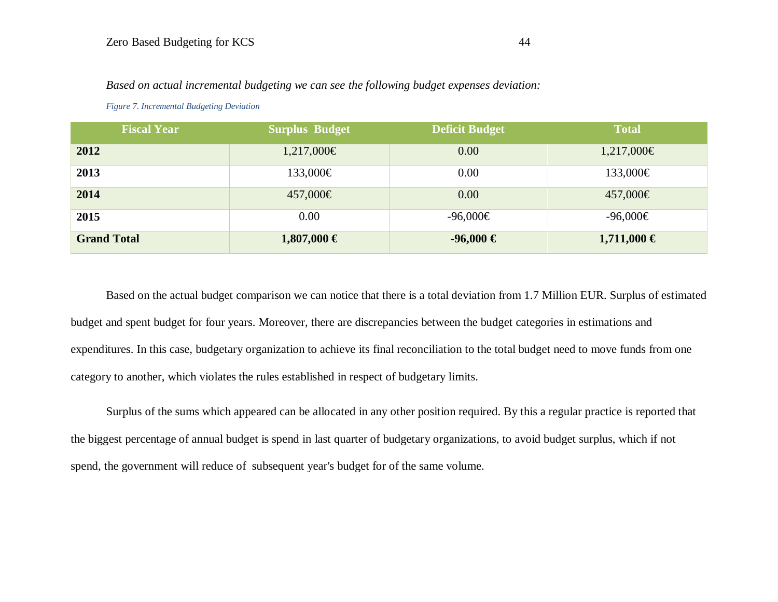| <b>Fiscal Year</b> | Surplus Budget  | <b>Deficit Budget</b> | <b>Total</b>    |
|--------------------|-----------------|-----------------------|-----------------|
| 2012               | 1,217,000€      | 0.00                  | 1,217,000€      |
| 2013               | 133,000€        | 0.00                  | 133,000€        |
| 2014               | 457,000€        | 0.00                  | 457,000€        |
| 2015               | 0.00            | $-96,000€$            | $-96,000€$      |
| <b>Grand Total</b> | $1,807,000 \in$ | $-96,000 \in$         | $1,711,000 \in$ |

*Based on actual incremental budgeting we can see the following budget expenses deviation:* 

*Figure 7. Incremental Budgeting Deviation*

<span id="page-44-0"></span>Based on the actual budget comparison we can notice that there is a total deviation from 1.7 Million EUR. Surplus of estimated budget and spent budget for four years. Moreover, there are discrepancies between the budget categories in estimations and expenditures. In this case, budgetary organization to achieve its final reconciliation to the total budget need to move funds from one category to another, which violates the rules established in respect of budgetary limits.

Surplus of the sums which appeared can be allocated in any other position required. By this a regular practice is reported that the biggest percentage of annual budget is spend in last quarter of budgetary organizations, to avoid budget surplus, which if not spend, the government will reduce of subsequent year's budget for of the same volume.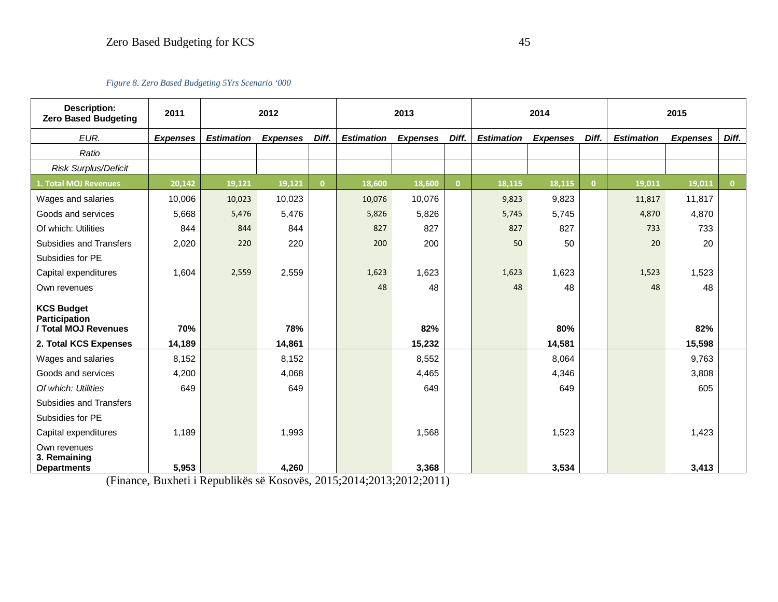*Figure 8. Zero Based Budgeting 5Yrs Scenario '000*

<span id="page-45-0"></span>

| Description:<br><b>Zero Based Budgeting</b>        | 2011            |                   | 2012<br>2013<br>2014<br>2015 |              |                   |                 |          |                   |                 |              |                   |                 |              |
|----------------------------------------------------|-----------------|-------------------|------------------------------|--------------|-------------------|-----------------|----------|-------------------|-----------------|--------------|-------------------|-----------------|--------------|
| EUR.                                               | <b>Expenses</b> | <b>Estimation</b> | <b>Expenses</b>              | Diff.        | <b>Estimation</b> | <b>Expenses</b> | Diff.    | <b>Estimation</b> | <b>Expenses</b> | Diff.        | <b>Estimation</b> | <b>Expenses</b> | Diff.        |
| Ratio                                              |                 |                   |                              |              |                   |                 |          |                   |                 |              |                   |                 |              |
| <b>Risk Surplus/Deficit</b>                        |                 |                   |                              |              |                   |                 |          |                   |                 |              |                   |                 |              |
| 1. Total MOJ Revenues                              | 20,142          | 19,121            | 19,121                       | $\mathbf{0}$ | 18,600            | 18,600          | $\Omega$ | 18,115            | 18,115          | $\mathbf{0}$ | 19,011            | 19,011          | $\mathbf{0}$ |
| Wages and salaries                                 | 10,006          | 10,023            | 10,023                       |              | 10,076            | 10,076          |          | 9,823             | 9,823           |              | 11,817            | 11,817          |              |
| Goods and services                                 | 5,668           | 5,476             | 5,476                        |              | 5,826             | 5,826           |          | 5,745             | 5,745           |              | 4,870             | 4,870           |              |
| Of which: Utilities                                | 844             | 844               | 844                          |              | 827               | 827             |          | 827               | 827             |              | 733               | 733             |              |
| <b>Subsidies and Transfers</b>                     | 2,020           | 220               | 220                          |              | 200               | 200             |          | 50                | 50              |              | 20                | 20              |              |
| Subsidies for PE                                   |                 |                   |                              |              |                   |                 |          |                   |                 |              |                   |                 |              |
| Capital expenditures                               | 1,604           | 2,559             | 2,559                        |              | 1,623             | 1,623           |          | 1,623             | 1,623           |              | 1,523             | 1,523           |              |
| Own revenues                                       |                 |                   |                              |              | 48                | 48              |          | 48                | 48              |              | 48                | 48              |              |
| <b>KCS Budget</b><br><b>Participation</b>          |                 |                   |                              |              |                   |                 |          |                   |                 |              |                   |                 |              |
| / Total MOJ Revenues                               | 70%             |                   | 78%                          |              |                   | 82%             |          |                   | 80%             |              |                   | 82%             |              |
| 2. Total KCS Expenses                              | 14,189          |                   | 14,861                       |              |                   | 15,232          |          |                   | 14,581          |              |                   | 15,598          |              |
| Wages and salaries                                 | 8,152           |                   | 8,152                        |              |                   | 8,552           |          |                   | 8,064           |              |                   | 9,763           |              |
| Goods and services                                 | 4,200           |                   | 4,068                        |              |                   | 4,465           |          |                   | 4,346           |              |                   | 3.808           |              |
| Of which: Utilities                                | 649             |                   | 649                          |              |                   | 649             |          |                   | 649             |              |                   | 605             |              |
| <b>Subsidies and Transfers</b>                     |                 |                   |                              |              |                   |                 |          |                   |                 |              |                   |                 |              |
| Subsidies for PE                                   |                 |                   |                              |              |                   |                 |          |                   |                 |              |                   |                 |              |
| Capital expenditures                               | 1,189           |                   | 1,993                        |              |                   | 1,568           |          |                   | 1,523           |              |                   | 1,423           |              |
| Own revenues<br>3. Remaining<br><b>Departments</b> | 5,953           |                   | 4,260                        |              |                   | 3,368           |          |                   | 3,534           |              |                   | 3,413           |              |

(Finance, Buxheti i Republikës së Kosovës, 2015;2014;2013;2012;2011)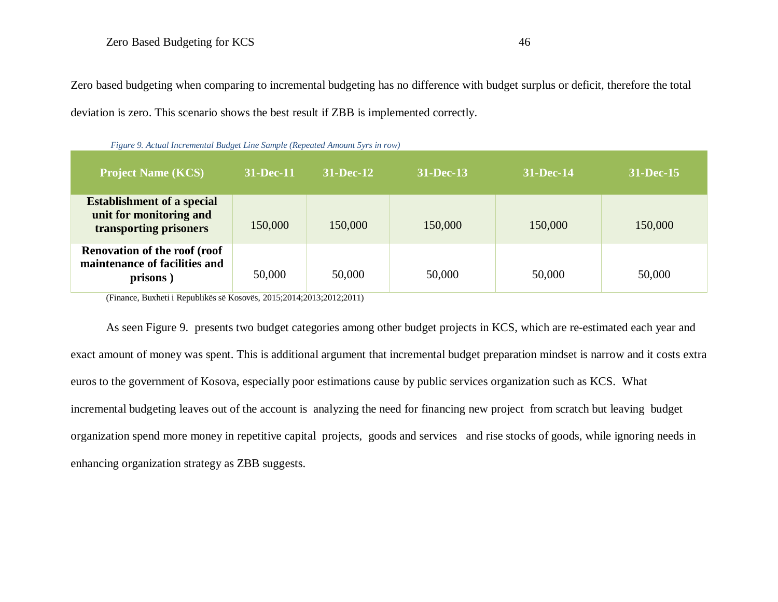Zero based budgeting when comparing to incremental budgeting has no difference with budget surplus or deficit, therefore the total deviation is zero. This scenario shows the best result if ZBB is implemented correctly.

| <b>Project Name (KCS)</b>                                                                                                                                | 31-Dec-11 | $31 - Dec-12$ | 31-Dec-13 | 31-Dec-14 | 31-Dec-15 |
|----------------------------------------------------------------------------------------------------------------------------------------------------------|-----------|---------------|-----------|-----------|-----------|
| <b>Establishment of a special</b><br>unit for monitoring and<br>transporting prisoners                                                                   | 150,000   | 150,000       | 150,000   | 150,000   | 150,000   |
| <b>Renovation of the roof (roof</b><br>maintenance of facilities and<br>prisons)<br>$(Finance$ Buybeti i Republikës së Kosovës 2015.2014.2013.2012.2011) | 50,000    | 50,000        | 50,000    | 50,000    | 50,000    |

 *Figure 9. Actual Incremental Budget Line Sample (Repeated Amount 5yrs in row)* 

<span id="page-46-0"></span>(Finance, Buxheti i Republikës së Kosovës, 2015;2014;2013;2012;2011)

As seen Figure 9. presents two budget categories among other budget projects in KCS, which are re-estimated each year and exact amount of money was spent. This is additional argument that incremental budget preparation mindset is narrow and it costs extra euros to the government of Kosova, especially poor estimations cause by public services organization such as KCS. What incremental budgeting leaves out of the account is analyzing the need for financing new project from scratch but leaving budget organization spend more money in repetitive capital projects, goods and services and rise stocks of goods, while ignoring needs in enhancing organization strategy as ZBB suggests.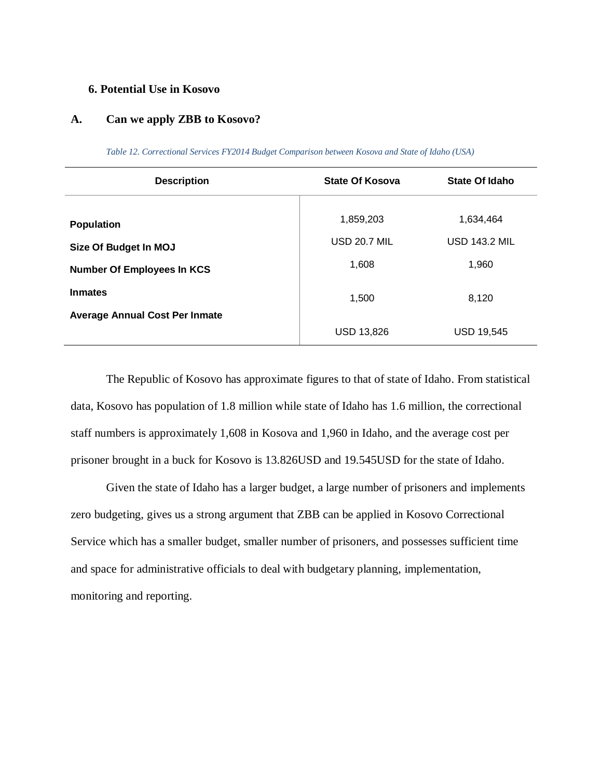#### <span id="page-47-0"></span>**6. Potential Use in Kosovo**

#### **A. Can we apply ZBB to Kosovo?**

<span id="page-47-1"></span>

| <b>Description</b>                    | <b>State Of Kosova</b> | State Of Idaho       |
|---------------------------------------|------------------------|----------------------|
| <b>Population</b>                     | 1,859,203              | 1,634,464            |
| Size Of Budget In MOJ                 | <b>USD 20.7 MIL</b>    | <b>USD 143.2 MIL</b> |
| <b>Number Of Employees In KCS</b>     | 1,608                  | 1,960                |
| <b>Inmates</b>                        | 1,500                  | 8,120                |
| <b>Average Annual Cost Per Inmate</b> |                        |                      |
|                                       | <b>USD 13,826</b>      | <b>USD 19,545</b>    |

*Table 12. Correctional Services FY2014 Budget Comparison between Kosova and State of Idaho (USA)*

The Republic of Kosovo has approximate figures to that of state of Idaho. From statistical data, Kosovo has population of 1.8 million while state of Idaho has 1.6 million, the correctional staff numbers is approximately 1,608 in Kosova and 1,960 in Idaho, and the average cost per prisoner brought in a buck for Kosovo is 13.826USD and 19.545USD for the state of Idaho.

Given the state of Idaho has a larger budget, a large number of prisoners and implements zero budgeting, gives us a strong argument that ZBB can be applied in Kosovo Correctional Service which has a smaller budget, smaller number of prisoners, and possesses sufficient time and space for administrative officials to deal with budgetary planning, implementation, monitoring and reporting.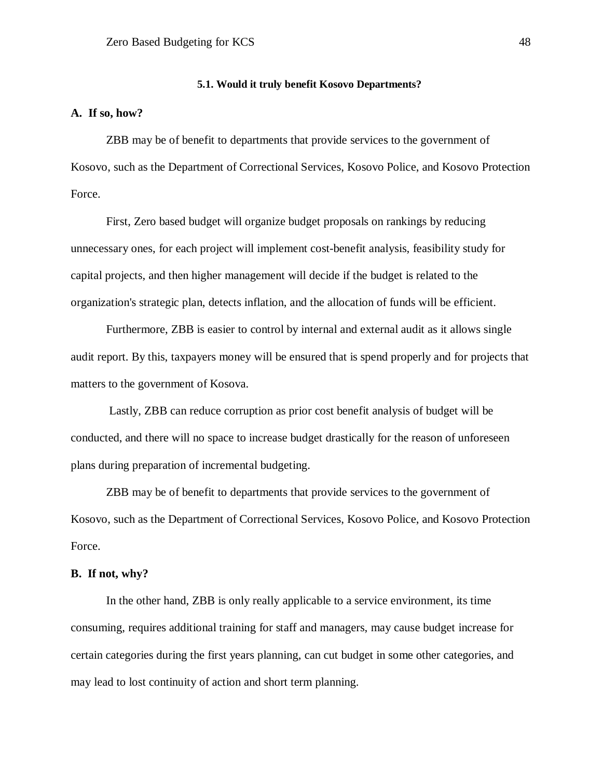#### **5.1. Would it truly benefit Kosovo Departments?**

#### <span id="page-48-0"></span>**A. If so, how?**

ZBB may be of benefit to departments that provide services to the government of Kosovo, such as the Department of Correctional Services, Kosovo Police, and Kosovo Protection Force.

First, Zero based budget will organize budget proposals on rankings by reducing unnecessary ones, for each project will implement cost-benefit analysis, feasibility study for capital projects, and then higher management will decide if the budget is related to the organization's strategic plan, detects inflation, and the allocation of funds will be efficient.

Furthermore, ZBB is easier to control by internal and external audit as it allows single audit report. By this, taxpayers money will be ensured that is spend properly and for projects that matters to the government of Kosova.

Lastly, ZBB can reduce corruption as prior cost benefit analysis of budget will be conducted, and there will no space to increase budget drastically for the reason of unforeseen plans during preparation of incremental budgeting.

ZBB may be of benefit to departments that provide services to the government of Kosovo, such as the Department of Correctional Services, Kosovo Police, and Kosovo Protection Force.

#### **B. If not, why?**

In the other hand, ZBB is only really applicable to a service environment, its time consuming, requires additional training for staff and managers, may cause budget increase for certain categories during the first years planning, can cut budget in some other categories, and may lead to lost continuity of action and short term planning.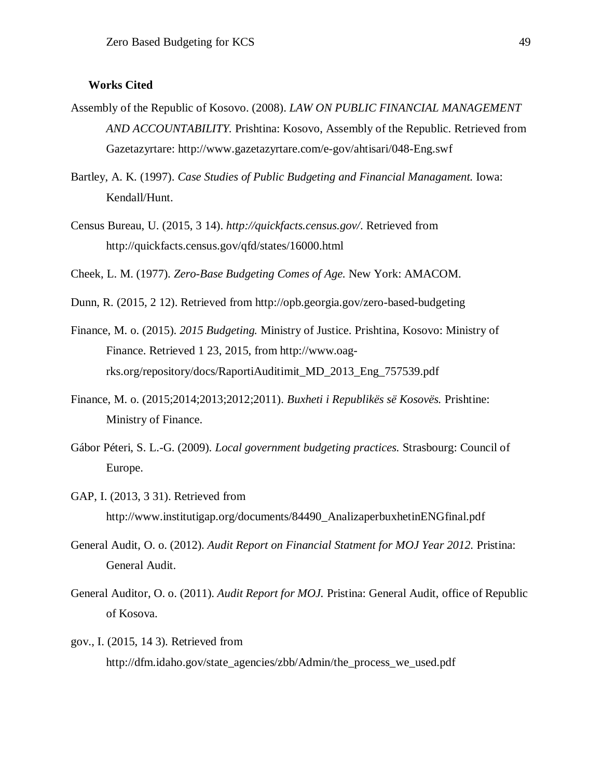#### <span id="page-49-0"></span>**Works Cited**

- Assembly of the Republic of Kosovo. (2008). *LAW ON PUBLIC FINANCIAL MANAGEMENT AND ACCOUNTABILITY.* Prishtina: Kosovo, Assembly of the Republic. Retrieved from Gazetazyrtare: http://www.gazetazyrtare.com/e-gov/ahtisari/048-Eng.swf
- Bartley, A. K. (1997). *Case Studies of Public Budgeting and Financial Managament.* Iowa: Kendall/Hunt.
- Census Bureau, U. (2015, 3 14). *http://quickfacts.census.gov/*. Retrieved from http://quickfacts.census.gov/qfd/states/16000.html
- Cheek, L. M. (1977). *Zero-Base Budgeting Comes of Age.* New York: AMACOM.
- Dunn, R. (2015, 2 12). Retrieved from http://opb.georgia.gov/zero-based-budgeting
- Finance, M. o. (2015). *2015 Budgeting.* Ministry of Justice. Prishtina, Kosovo: Ministry of Finance. Retrieved 1 23, 2015, from http://www.oagrks.org/repository/docs/RaportiAuditimit\_MD\_2013\_Eng\_757539.pdf
- Finance, M. o. (2015;2014;2013;2012;2011). *Buxheti i Republikës së Kosovës.* Prishtine: Ministry of Finance.
- Gábor Péteri, S. L.-G. (2009). *Local government budgeting practices.* Strasbourg: Council of Europe.
- GAP, I. (2013, 3 31). Retrieved from http://www.institutigap.org/documents/84490\_AnalizaperbuxhetinENGfinal.pdf
- General Audit, O. o. (2012). *Audit Report on Financial Statment for MOJ Year 2012.* Pristina: General Audit.
- General Auditor, O. o. (2011). *Audit Report for MOJ.* Pristina: General Audit, office of Republic of Kosova.
- gov., I. (2015, 14 3). Retrieved from http://dfm.idaho.gov/state\_agencies/zbb/Admin/the\_process\_we\_used.pdf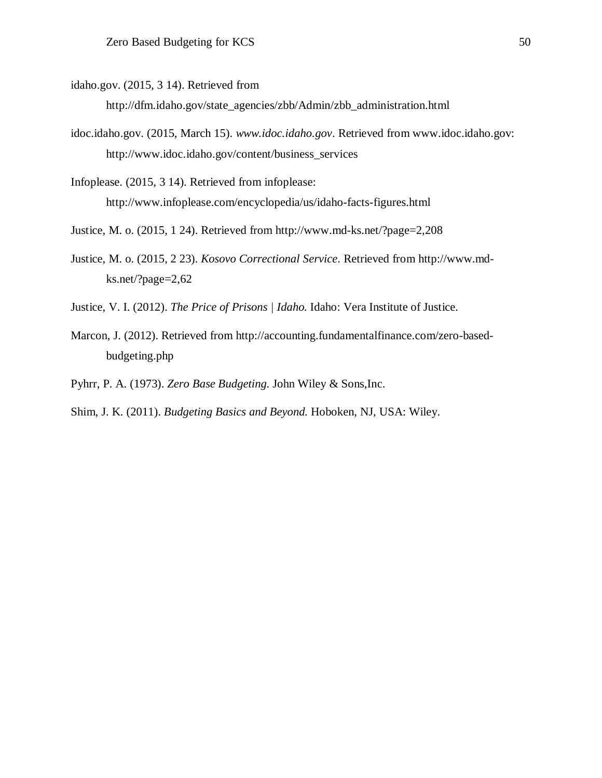idaho.gov. (2015, 3 14). Retrieved from

http://dfm.idaho.gov/state\_agencies/zbb/Admin/zbb\_administration.html

idoc.idaho.gov. (2015, March 15). *www.idoc.idaho.gov*. Retrieved from www.idoc.idaho.gov: http://www.idoc.idaho.gov/content/business\_services

Infoplease. (2015, 3 14). Retrieved from infoplease: http://www.infoplease.com/encyclopedia/us/idaho-facts-figures.html

- Justice, M. o. (2015, 1 24). Retrieved from http://www.md-ks.net/?page=2,208
- Justice, M. o. (2015, 2 23). *Kosovo Correctional Service*. Retrieved from http://www.mdks.net/?page=2,62
- Justice, V. I. (2012). *The Price of Prisons | Idaho.* Idaho: Vera Institute of Justice.
- Marcon, J. (2012). Retrieved from http://accounting.fundamentalfinance.com/zero-basedbudgeting.php
- Pyhrr, P. A. (1973). *Zero Base Budgeting.* John Wiley & Sons,Inc.
- Shim, J. K. (2011). *Budgeting Basics and Beyond.* Hoboken, NJ, USA: Wiley.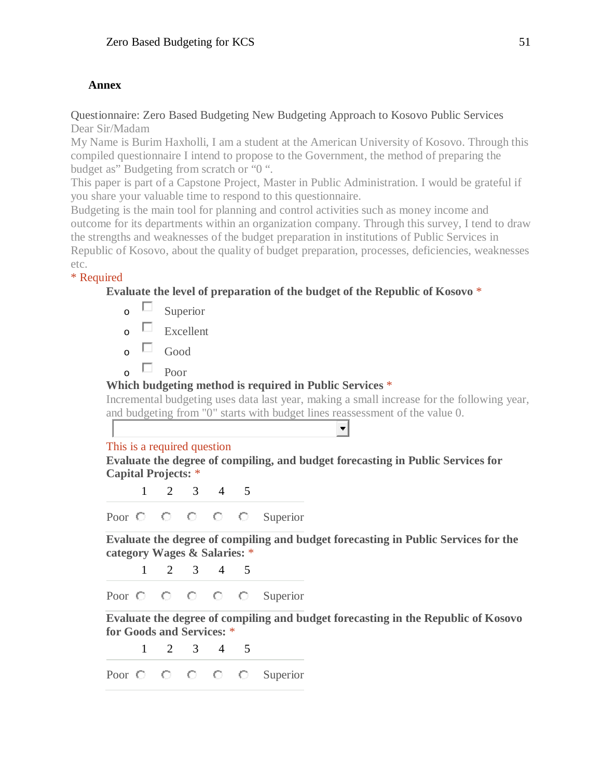## <span id="page-51-0"></span>**Annex**

## <span id="page-51-1"></span>Questionnaire: Zero Based Budgeting New Budgeting Approach to Kosovo Public Services Dear Sir/Madam

My Name is Burim Haxholli, I am a student at the American University of Kosovo. Through this compiled questionnaire I intend to propose to the Government, the method of preparing the budget as" Budgeting from scratch or "0 ".

This paper is part of a Capstone Project, Master in Public Administration. I would be grateful if you share your valuable time to respond to this questionnaire.

Budgeting is the main tool for planning and control activities such as money income and outcome for its departments within an organization company. Through this survey, I tend to draw the strengths and weaknesses of the budget preparation in institutions of Public Services in Republic of Kosovo, about the quality of budget preparation, processes, deficiencies, weaknesses etc.

## \* Required

**Evaluate the level of preparation of the budget of the Republic of Kosovo** \*

- $\circ$   $\Box$  Superior
- $\overline{\mathsf{C}}$  Excellent

 $\overline{\circ}$   $\Box$  Good

 $\overline{\circ}$  Poor

## **Which budgeting method is required in Public Services** \*

Incremental budgeting uses data last year, making a small increase for the following year, and budgeting from "0" starts with budget lines reassessment of the value 0.

╺╿

## This is a required question

**Evaluate the degree of compiling, and budget forecasting in Public Services for Capital Projects:** \*

1 2 3 4 5

Poor  $\bigcirc$   $\bigcirc$   $\bigcirc$   $\bigcirc$   $\bigcirc$  Superior

**Evaluate the degree of compiling and budget forecasting in Public Services for the category Wages & Salaries:** \*

1 2 3 4 5 Poor  $\bigcirc$   $\bigcirc$   $\bigcirc$   $\bigcirc$   $\bigcirc$  Superior

**Evaluate the degree of compiling and budget forecasting in the Republic of Kosovo for Goods and Services:** \*

1 2 3 4 5

Poor  $\bigcirc$   $\bigcirc$   $\bigcirc$   $\bigcirc$   $\bigcirc$  Superior